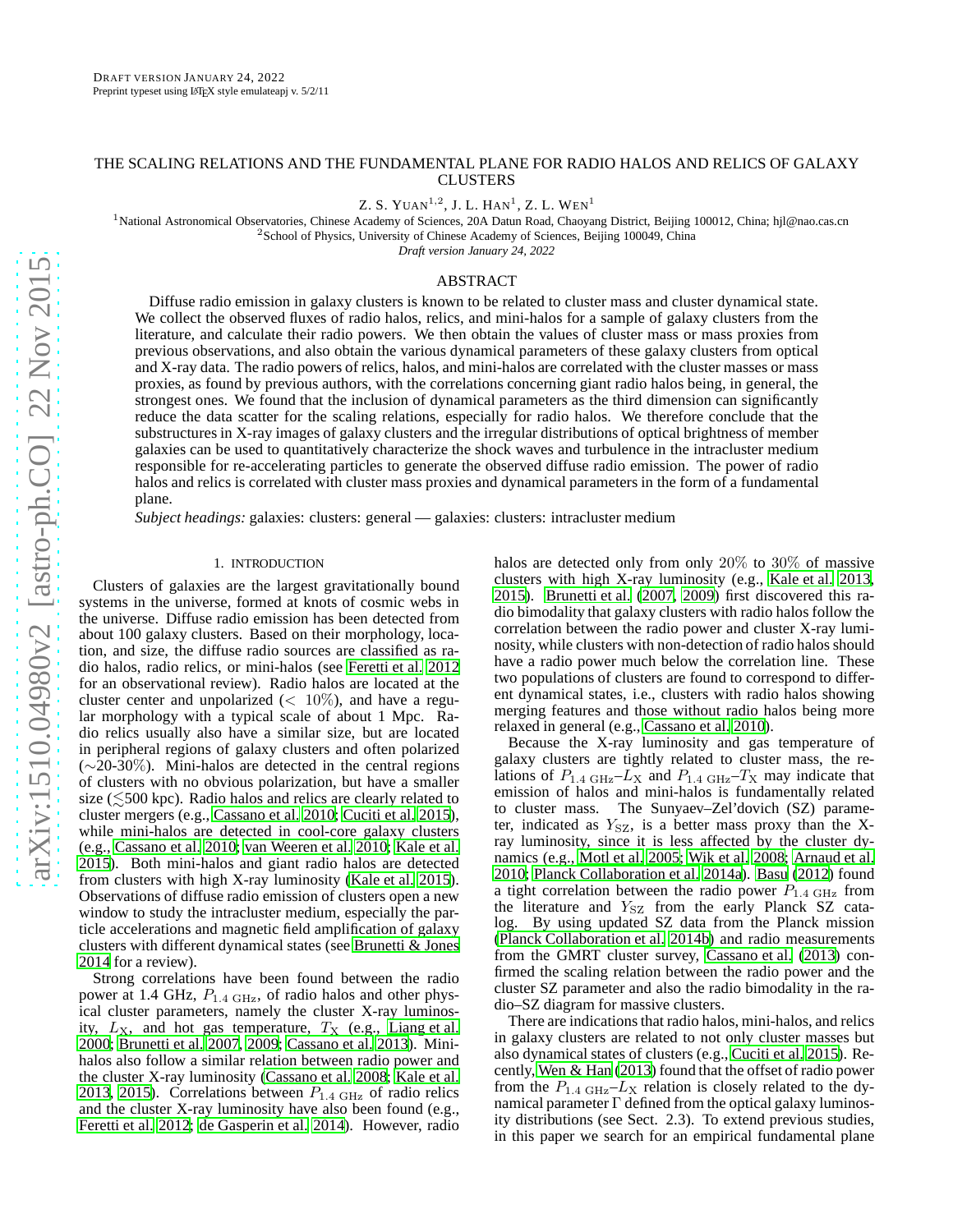# THE SCALING RELATIONS AND THE FUNDAMENTAL PLANE FOR RADIO HALOS AND RELICS OF GALAXY CLUSTERS

Z. S. YUAN $^{1,2}$ , J. L. Han $^{1}$ , Z. L. Wen $^{1}$ 

<sup>1</sup>National Astronomical Observatories, Chinese Academy of Sciences, 20A Datun Road, Chaoyang District, Beijing 100012, China; hjl@nao.cas.cn <sup>2</sup>School of Physics, University of Chinese Academy of Sciences, Beijing 100049, China

*Draft version January 24, 2022*

## ABSTRACT

Diffuse radio emission in galaxy clusters is known to be related to cluster mass and cluster dynamical state. We collect the observed fluxes of radio halos, relics, and mini-halos for a sample of galaxy clusters from the literature, and calculate their radio powers. We then obtain the values of cluster mass or mass proxies from previous observations, and also obtain the various dynamical parameters of these galaxy clusters from optical and X-ray data. The radio powers of relics, halos, and mini-halos are correlated with the cluster masses or mass proxies, as found by previous authors, with the correlations concerning giant radio halos being, in general, the strongest ones. We found that the inclusion of dynamical parameters as the third dimension can significantly reduce the data scatter for the scaling relations, especially for radio halos. We therefore conclude that the substructures in X-ray images of galaxy clusters and the irregular distributions of optical brightness of member galaxies can be used to quantitatively characterize the shock waves and turbulence in the intracluster medium responsible for re-accelerating particles to generate the observed diffuse radio emission. The power of radio halos and relics is correlated with cluster mass proxies and dynamical parameters in the form of a fundamental plane.

*Subject headings:* galaxies: clusters: general — galaxies: clusters: intracluster medium

### 1. INTRODUCTION

Clusters of galaxies are the largest gravitationally bound systems in the universe, formed at knots of cosmic webs in the universe. Diffuse radio emission has been detected from about 100 galaxy clusters. Based on their morphology, location, and size, the diffuse radio sources are classified as radio halos, radio relics, or mini-halos (see [Feretti et al. 2012](#page-12-0) for an observational review). Radio halos are located at the cluster center and unpolarized ( $< 10\%$ ), and have a regular morphology with a typical scale of about 1 Mpc. Radio relics usually also have a similar size, but are located in peripheral regions of galaxy clusters and often polarized  $(\sim 20-30\%)$ . Mini-halos are detected in the central regions of clusters with no obvious polarization, but have a smaller size ( $\leq 500$  kpc). Radio halos and relics are clearly related to cluster mergers (e.g., [Cassano et al. 2010](#page-12-1); [Cuciti et al. 2015\)](#page-12-2), while mini-halos are detected in cool-core galaxy clusters (e.g., [Cassano et al. 2010;](#page-12-1) [van Weeren et al. 2010;](#page-13-0) [Kale et al.](#page-12-3) [2015\)](#page-12-3). Both mini-halos and giant radio halos are detected from clusters with high X-ray luminosity [\(Kale et al. 2015\)](#page-12-3). Observations of diffuse radio emission of clusters open a new window to study the intracluster medium, especially the particle accelerations and magnetic field amplification of galaxy clusters with different dynamical states (see [Brunetti & Jones](#page-12-4) [2014](#page-12-4) for a review).

Strong correlations have been found between the radio power at 1.4 GHz,  $P_{1.4 \text{ GHz}}$ , of radio halos and other physical cluster parameters, namely the cluster X-ray luminosity,  $L_X$ , and hot gas temperature,  $T_X$  (e.g., [Liang et al.](#page-12-5) [2000;](#page-12-5) [Brunetti et al. 2007,](#page-12-6) [2009;](#page-12-7) [Cassano et al. 2013\)](#page-12-8). Minihalos also follow a similar relation between radio power and the cluster X-ray luminosity [\(Cassano et al. 2008;](#page-12-9) [Kale et al.](#page-12-10) [2013,](#page-12-10) [2015\)](#page-12-3). Correlations between  $P_{1.4 \text{ GHz}}$  of radio relics and the cluster X-ray luminosity have also been found (e.g., [Feretti et al. 2012;](#page-12-0) [de Gasperin et al. 2014\)](#page-12-11). However, radio

halos are detected only from only 20% to 30% of massive clusters with high X-ray luminosity (e.g., [Kale et al. 2013,](#page-12-10) [2015\)](#page-12-3). [Brunetti et al.](#page-12-6) [\(2007,](#page-12-6) [2009](#page-12-7)) first discovered this radio bimodality that galaxy clusters with radio halos follow the correlation between the radio power and cluster X-ray luminosity, while clusters with non-detection of radio halos should have a radio power much below the correlation line. These two populations of clusters are found to correspond to different dynamical states, i.e., clusters with radio halos showing merging features and those without radio halos being more relaxed in general (e.g., [Cassano et al. 2010\)](#page-12-1).

Because the X-ray luminosity and gas temperature of galaxy clusters are tightly related to cluster mass, the relations of  $P_{1.4 \text{ GHz}}-L_{\text{X}}$  and  $P_{1.4 \text{ GHz}}-T_{\text{X}}$  may indicate that emission of halos and mini-halos is fundamentally related to cluster mass. The Sunyaev–Zel'dovich (SZ) parameter, indicated as  $Y_{SZ}$ , is a better mass proxy than the Xray luminosity, since it is less affected by the cluster dynamics (e.g., [Motl et al. 2005;](#page-12-12) [Wik et al. 2008](#page-13-1); [Arnaud et al.](#page-12-13) [2010;](#page-12-13) [Planck Collaboration et al. 2014a\)](#page-12-14). [Basu](#page-12-15) [\(2012\)](#page-12-15) found a tight correlation between the radio power  $P_{1.4 \text{ GHz}}$  from the literature and  $Y_{SZ}$  from the early Planck SZ catalog. By using updated SZ data from the Planck mission [\(Planck Collaboration et al. 2014b\)](#page-12-16) and radio measurements from the GMRT cluster survey, [Cassano et al.](#page-12-8) [\(2013\)](#page-12-8) confirmed the scaling relation between the radio power and the cluster SZ parameter and also the radio bimodality in the radio–SZ diagram for massive clusters.

There are indications that radio halos, mini-halos, and relics in galaxy clusters are related to not only cluster masses but also dynamical states of clusters (e.g., [Cuciti et al. 2015\)](#page-12-2). Recently, [Wen & Han](#page-13-2) [\(2013\)](#page-13-2) found that the offset of radio power from the  $P_{1.4 \text{ GHz}}-L_{\text{X}}$  relation is closely related to the dynamical parameter  $\Gamma$  defined from the optical galaxy luminosity distributions (see Sect. 2.3). To extend previous studies, in this paper we search for an empirical fundamental plane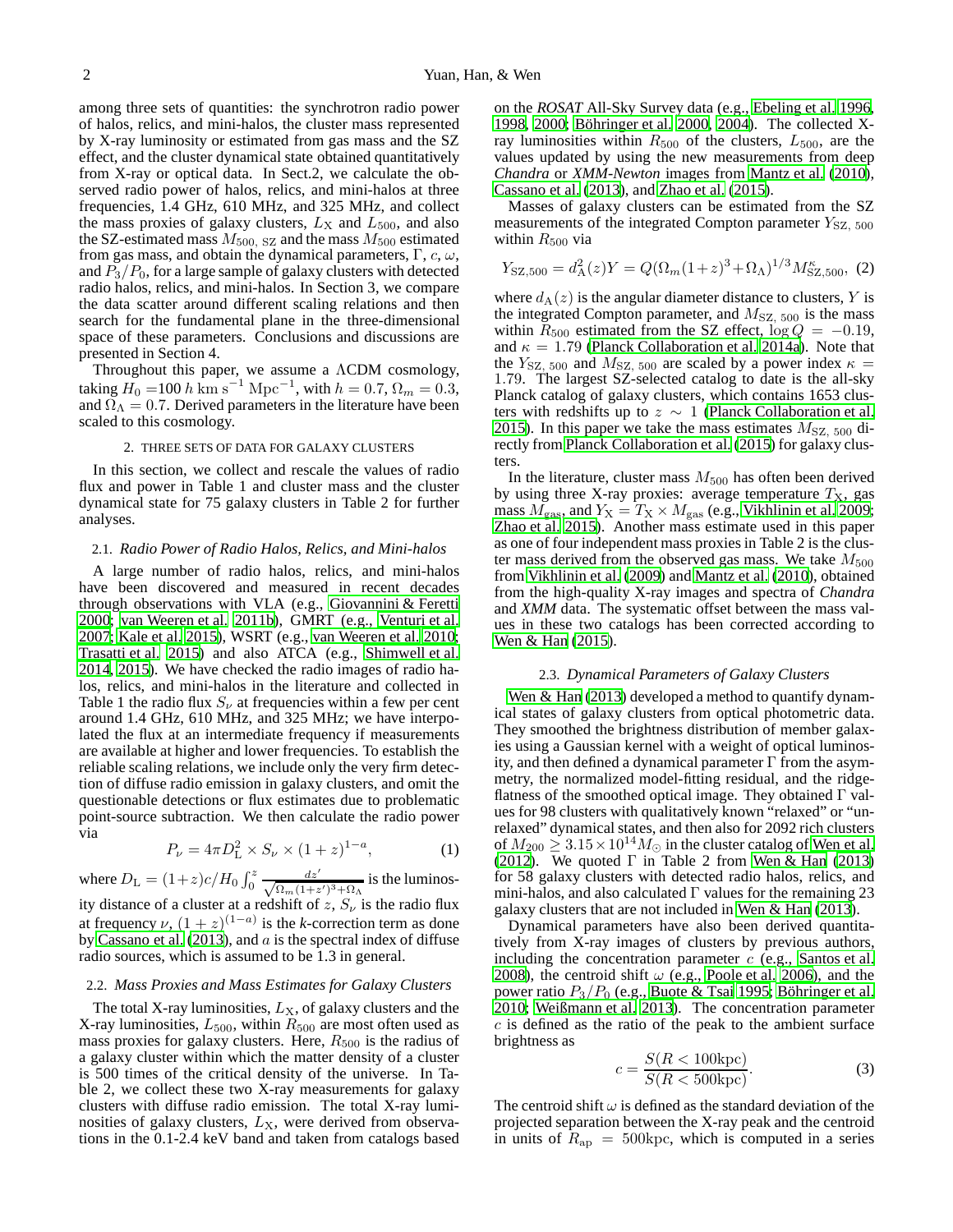among three sets of quantities: the synchrotron radio power of halos, relics, and mini-halos, the cluster mass represented by X-ray luminosity or estimated from gas mass and the SZ effect, and the cluster dynamical state obtained quantitatively from X-ray or optical data. In Sect.2, we calculate the observed radio power of halos, relics, and mini-halos at three frequencies, 1.4 GHz, 610 MHz, and 325 MHz, and collect the mass proxies of galaxy clusters,  $L_X$  and  $L_{500}$ , and also the SZ-estimated mass  $M_{500, SZ}$  and the mass  $M_{500}$  estimated from gas mass, and obtain the dynamical parameters,  $\Gamma$ ,  $c$ ,  $\omega$ , and  $P_3/P_0$ , for a large sample of galaxy clusters with detected radio halos, relics, and mini-halos. In Section 3, we compare the data scatter around different scaling relations and then search for the fundamental plane in the three-dimensional space of these parameters. Conclusions and discussions are presented in Section 4.

Throughout this paper, we assume a ΛCDM cosmology, taking  $H_0 = 100 h \text{ km s}^{-1} \text{ Mpc}^{-1}$ , with  $h = 0.7$ ,  $\Omega_m = 0.3$ , and  $\Omega_{\Lambda} = 0.7$ . Derived parameters in the literature have been scaled to this cosmology.

# 2. THREE SETS OF DATA FOR GALAXY CLUSTERS

In this section, we collect and rescale the values of radio flux and power in Table 1 and cluster mass and the cluster dynamical state for 75 galaxy clusters in Table 2 for further analyses.

### 2.1. *Radio Power of Radio Halos, Relics, and Mini-halos*

A large number of radio halos, relics, and mini-halos have been discovered and measured in recent decades through observations with VLA (e.g., [Giovannini & Feretti](#page-12-17) [2000;](#page-12-17) [van Weeren et al. 2011b\)](#page-13-3), GMRT (e.g., [Venturi et al.](#page-13-4) [2007;](#page-13-4) [Kale et al. 2015\)](#page-12-3), WSRT (e.g., [van Weeren et al. 2010;](#page-13-0) [Trasatti et al. 2015](#page-12-18)) and also ATCA (e.g., [Shimwell et al.](#page-12-19) [2014,](#page-12-19) [2015\)](#page-12-20). We have checked the radio images of radio halos, relics, and mini-halos in the literature and collected in Table 1 the radio flux  $S_{\nu}$  at frequencies within a few per cent around 1.4 GHz, 610 MHz, and 325 MHz; we have interpolated the flux at an intermediate frequency if measurements are available at higher and lower frequencies. To establish the reliable scaling relations, we include only the very firm detection of diffuse radio emission in galaxy clusters, and omit the questionable detections or flux estimates due to problematic point-source subtraction. We then calculate the radio power via

$$
P_{\nu} = 4\pi D_{\rm L}^2 \times S_{\nu} \times (1+z)^{1-a}, \tag{1}
$$

where  $D_{\rm L} = (1+z)c/H_0 \int_0^z \frac{dz'}{\sqrt{\Omega_m (1+z')^3 + \Omega_\Lambda}}$  is the luminosity distance of a cluster at a redshift of z,  $S_{\nu}$  is the radio flux at frequency  $\nu$ ,  $(1 + z)^{(1-a)}$  is the *k*-correction term as done by [Cassano et al.](#page-12-8) [\(2013\)](#page-12-8), and  $a$  is the spectral index of diffuse radio sources, which is assumed to be 1.3 in general.

### 2.2. *Mass Proxies and Mass Estimates for Galaxy Clusters*

The total X-ray luminosities,  $L_X$ , of galaxy clusters and the X-ray luminosities,  $L_{500}$ , within  $R_{500}$  are most often used as mass proxies for galaxy clusters. Here,  $R_{500}$  is the radius of a galaxy cluster within which the matter density of a cluster is 500 times of the critical density of the universe. In Table 2, we collect these two X-ray measurements for galaxy clusters with diffuse radio emission. The total X-ray luminosities of galaxy clusters,  $L_X$ , were derived from observations in the 0.1-2.4 keV band and taken from catalogs based on the *ROSAT* All-Sky Survey data (e.g., [Ebeling et al. 1996,](#page-12-21) [1998,](#page-12-22) [2000;](#page-12-23) Böhringer et al. 2000, [2004](#page-12-25)). The collected  $X$ ray luminosities within  $R_{500}$  of the clusters,  $L_{500}$ , are the values updated by using the new measurements from deep *Chandra* or *XMM-Newton* images from [Mantz et al. \(2010](#page-12-26)), [Cassano et al. \(2013\)](#page-12-8), and [Zhao et al.](#page-13-5) [\(2015\)](#page-13-5).

Masses of galaxy clusters can be estimated from the SZ measurements of the integrated Compton parameter  $Y_{SZ, 500}$ within  $R_{500}$  via

$$
Y_{\rm SZ, 500} = d_{\rm A}^2(z)Y = Q(\Omega_m(1+z)^3 + \Omega_\Lambda)^{1/3} M_{\rm SZ, 500}^{\kappa}, \tag{2}
$$

where  $d_A(z)$  is the angular diameter distance to clusters, Y is the integrated Compton parameter, and  $M_{SZ, 500}$  is the mass within  $R_{500}$  estimated from the SZ effect,  $\log Q = -0.19$ , and  $\kappa = 1.79$  [\(Planck Collaboration et al. 2014a\)](#page-12-14). Note that the  $Y_{\rm SZ, 500}$  and  $M_{\rm SZ, 500}$  are scaled by a power index  $\kappa =$ 1.79. The largest SZ-selected catalog to date is the all-sky Planck catalog of galaxy clusters, which contains 1653 clusters with redshifts up to  $z \sim 1$  [\(Planck Collaboration et al.](#page-12-27) [2015\)](#page-12-27). In this paper we take the mass estimates  $M_{SZ, 500}$  directly from [Planck Collaboration et al. \(2015](#page-12-27)) for galaxy clusters.

In the literature, cluster mass  $M_{500}$  has often been derived by using three X-ray proxies: average temperature  $T<sub>X</sub>$ , gas mass  $M_{\text{gas}}$ , and  $Y_{\text{X}} = T_{\text{X}} \times M_{\text{gas}}$  (e.g., [Vikhlinin et al. 2009](#page-13-6); [Zhao et al. 2015](#page-13-5)). Another mass estimate used in this paper as one of four independent mass proxies in Table 2 is the cluster mass derived from the observed gas mass. We take  $M_{500}$ from [Vikhlinin et al. \(2009\)](#page-13-6) and [Mantz et al.](#page-12-26) [\(2010\)](#page-12-26), obtained from the high-quality X-ray images and spectra of *Chandra* and *XMM* data. The systematic offset between the mass values in these two catalogs has been corrected according to [Wen & Han](#page-13-7) [\(2015\)](#page-13-7).

## 2.3. *Dynamical Parameters of Galaxy Clusters*

[Wen & Han \(2013\)](#page-13-2) developed a method to quantify dynamical states of galaxy clusters from optical photometric data. They smoothed the brightness distribution of member galaxies using a Gaussian kernel with a weight of optical luminosity, and then defined a dynamical parameter  $\Gamma$  from the asymmetry, the normalized model-fitting residual, and the ridgeflatness of the smoothed optical image. They obtained  $\Gamma$  values for 98 clusters with qualitatively known "relaxed" or "unrelaxed" dynamical states, and then also for 2092 rich clusters of  $M_{200} \geq 3.15 \times 10^{14} M_{\odot}$  in the cluster catalog of [Wen et al.](#page-13-8) [\(2012\)](#page-13-8). We quoted  $\Gamma$  in Table 2 from [Wen & Han](#page-13-2) [\(2013\)](#page-13-2) for 58 galaxy clusters with detected radio halos, relics, and mini-halos, and also calculated  $\Gamma$  values for the remaining 23 galaxy clusters that are not included in [Wen & Han \(2013\)](#page-13-2).

Dynamical parameters have also been derived quantitatively from X-ray images of clusters by previous authors, including the concentration parameter  $c$  (e.g., [Santos et al.](#page-12-28) [2008\)](#page-12-28), the centroid shift  $\omega$  (e.g., [Poole et al. 2006](#page-12-29)), and the power ratio  $P_3/P_0$  (e.g., [Buote & Tsai 1995;](#page-12-30) Böhringer et al. [2010;](#page-12-31) [Weißmann et al. 2013\)](#page-13-9). The concentration parameter  $c$  is defined as the ratio of the peak to the ambient surface brightness as

$$
c = \frac{S(R < 100\,\text{kpc})}{S(R < 500\,\text{kpc})}.\tag{3}
$$

The centroid shift  $\omega$  is defined as the standard deviation of the projected separation between the X-ray peak and the centroid in units of  $R_{\rm ap} = 500{\rm kpc}$ , which is computed in a series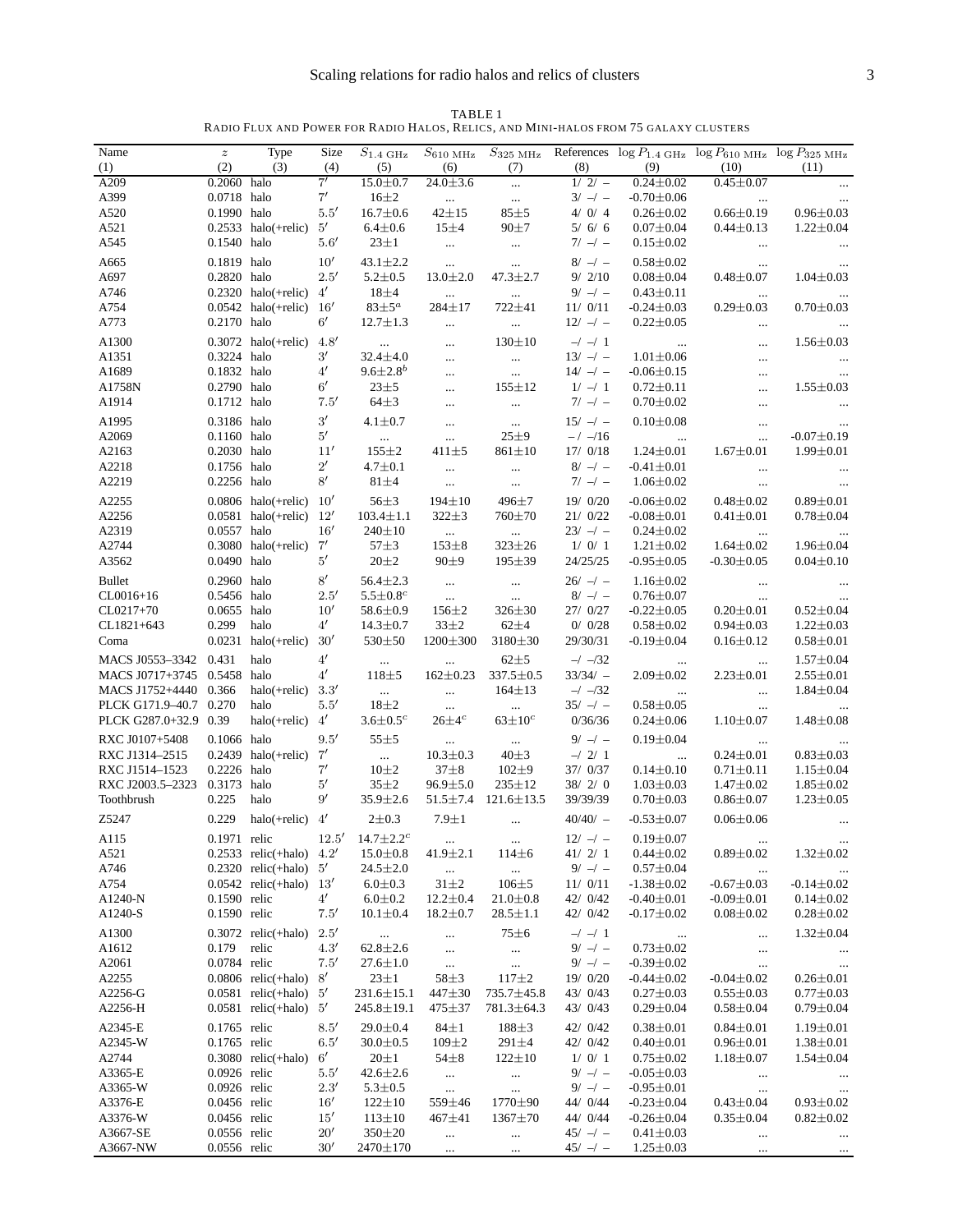| TABLE <sub>1</sub>                                                                   |
|--------------------------------------------------------------------------------------|
| Radio Flux and Power for Radio Halos. Relics. and Mini-halos from 75 galaxy clusters |

| Name                                           | $\boldsymbol{z}$             | Type                                                                           | Size                         | $S_{\rm 1.4~GHz}$                |                            |                                 |                          |                                                           | $S_{610 \text{ MHz}}$ $S_{325 \text{ MHz}}$ References $\log P_{1.4 \text{ GHz}}$ $\log P_{610 \text{ MHz}}$ $\log P_{325 \text{ MHz}}$ |                                     |
|------------------------------------------------|------------------------------|--------------------------------------------------------------------------------|------------------------------|----------------------------------|----------------------------|---------------------------------|--------------------------|-----------------------------------------------------------|-----------------------------------------------------------------------------------------------------------------------------------------|-------------------------------------|
| (1)                                            | (2)                          | (3)                                                                            | (4)                          | (5)                              | (6)                        | (7)                             | (8)                      | (9)                                                       | (10)                                                                                                                                    | (11)                                |
| A209<br>A399                                   | 0.2060 halo<br>0.0718 halo   |                                                                                | 7'<br>7'                     | $15.0 \pm 0.7$<br>$16\pm2$       | $24.0 \pm 3.6$<br>$\cdots$ | $\cdots$<br>$\ldots$            | $1/2/-$<br>$3/ -1 -$     | $0.24 + 0.02$<br>$-0.70 \pm 0.06$                         | $0.45 + 0.07$                                                                                                                           | $\cdots$                            |
| A520                                           | 0.1990 halo                  |                                                                                | 5.5'                         | $16.7 \pm 0.6$                   | $42 + 15$                  | $85 + 5$                        | 4/0/4                    | $0.26 \pm 0.02$                                           | $\ldots$<br>$0.66 \pm 0.19$                                                                                                             | $0.96 \pm 0.03$                     |
| A521                                           |                              | $0.2533$ halo(+relic) $5'$                                                     |                              | $6.4 + 0.6$                      | $15 + 4$                   | $90\pm7$                        | 5/6/6                    | $0.07 \pm 0.04$                                           | $0.44 \pm 0.13$                                                                                                                         | $1.22 \pm 0.04$                     |
| A545                                           | 0.1540 halo                  |                                                                                | 5.6'                         | $23\pm1$                         | $\ldots$                   | $\ldots$                        | $7/ -1 -$                | $0.15 \pm 0.02$                                           | $\ldots$                                                                                                                                | $\cdots$                            |
| A665                                           | 0.1819 halo                  |                                                                                | 10'                          | $43.1 \pm 2.2$                   | $\cdots$                   | $\cdots$                        | $8/ - / -$               | $0.58 \pm 0.02$                                           | $\ldots$                                                                                                                                |                                     |
| A697                                           | 0.2820 halo                  |                                                                                | 2.5'                         | $5.2 \pm 0.5$                    | $13.0 \pm 2.0$             | $47.3 \pm 2.7$                  | 9/2/10                   | $0.08 \pm 0.04$                                           | $0.48 \pm 0.07$                                                                                                                         | $1.04 \pm 0.03$                     |
| A746                                           |                              | $0.2320$ halo(+relic) $4'$                                                     |                              | $18\pm4$                         | $\cdots$                   | $\ldots$                        | $9/ - / -$               | $0.43 \pm 0.11$                                           | $\ldots$                                                                                                                                |                                     |
| A754                                           |                              | 0.0542 halo(+relic) $16'$                                                      |                              | $83\pm5^a$                       | $284 \pm 17$               | 722±41                          | 11/0/11                  | $-0.24 \pm 0.03$                                          | $0.29{\pm}0.03$                                                                                                                         | $0.70 \pm 0.03$                     |
| A773                                           | 0.2170 halo                  |                                                                                | $6^{\prime}$                 | $12.7 \pm 1.3$                   | $\cdots$                   | $\ldots$                        | $12/-/-$                 | $0.22 \pm 0.05$                                           | $\ldots$                                                                                                                                | $\ldots$                            |
| A1300                                          |                              | 0.3072 halo(+ $relic$ ) 4.8'                                                   |                              | $\ldots$                         | $\cdots$                   | $130 \pm 10$                    | $-/-1$                   | $\ldots$                                                  | $\cdots$                                                                                                                                | $1.56 \pm 0.03$                     |
| A1351                                          | 0.3224 halo                  |                                                                                | $3^{\prime}$                 | $32.4 \pm 4.0$                   | $\cdots$                   | $\cdots$                        | $13/-/-$                 | $1.01 \pm 0.06$                                           | $\cdots$                                                                                                                                | $\ldots$                            |
| A1689                                          | 0.1832 halo                  |                                                                                | 4'                           | $9.6 \pm 2.8^b$                  | $\cdots$                   | $\ldots$                        | $14/-/-$                 | $-0.06 \pm 0.15$                                          |                                                                                                                                         | $\ldots$                            |
| A1758N                                         | 0.2790 halo                  |                                                                                | $6^{\prime}$                 | $23 + 5$                         | $\cdots$                   | $155 \pm 12$                    | $1/ -1$                  | $0.72 \pm 0.11$                                           | $\cdots$                                                                                                                                | $1.55 \pm 0.03$                     |
| A1914                                          | $0.1712$ halo                |                                                                                | 7.5'                         | $64\pm3$                         | $\cdots$                   | $\ldots$                        | $7/ -1 -$                | $0.70 \pm 0.02$                                           | $\ldots$                                                                                                                                | $\ldots$                            |
| A1995                                          | 0.3186 halo                  |                                                                                | $3^{\prime}$<br>$5^{\prime}$ | $4.1 \pm 0.7$                    | $\cdots$                   | $\sim 100$                      | $15/ - / -$              | $0.10 \pm 0.08$                                           | $\ldots$                                                                                                                                | $\ldots$                            |
| A2069<br>A2163                                 | 0.1160 halo<br>0.2030 halo   |                                                                                | 11'                          | $\sim 100$<br>$155 \pm 2$        | $\cdots$<br>$411 + 5$      | $25 + 9$<br>$861 \pm 10$        | $-/-16$<br>17/0/18       | $\sim$ 100 $\mu$<br>$1.24 \pm 0.01$                       | $\cdots$<br>$1.67 \pm 0.01$                                                                                                             | $-0.07 \pm 0.19$<br>$1.99 \pm 0.01$ |
| A2218                                          | 0.1756 halo                  |                                                                                | $2^{\prime}$                 | $4.7 \pm 0.1$                    | $\cdots$                   | $\ldots$                        | $8/ - / -$               | $-0.41 \pm 0.01$                                          | $\ldots$                                                                                                                                |                                     |
| A2219                                          | 0.2256 halo                  |                                                                                | 8'                           | $81\pm4$                         | $\cdots$                   | $\ldots$                        | $7/ -1 -$                | $1.06 \pm 0.02$                                           | $\ldots$                                                                                                                                | $\ldots$<br>$\ldots$                |
| A2255                                          |                              | $0.0806$ halo(+relic) $10'$                                                    |                              | $56 + 3$                         | $194 \pm 10$               | 496±7                           | 19/ 0/20                 | $-0.06 \pm 0.02$                                          | $0.48 + 0.02$                                                                                                                           | $0.89 + 0.01$                       |
| A2256                                          |                              | 0.0581 halo(+relic) $12'$                                                      |                              | $103.4 \pm 1.1$                  | $322 \pm 3$                | 760±70                          | 21/0/22                  | $-0.08 \pm 0.01$                                          | $0.41 \pm 0.01$                                                                                                                         | $0.78 + 0.04$                       |
| A2319                                          | 0.0557 halo                  |                                                                                | 16'                          | $240 \pm 10$                     | $\sim 100$                 | $\sim 100$                      | $23/-/-$                 | $0.24 \pm 0.02$                                           | $\cdots$                                                                                                                                | $\cdots$                            |
| A2744                                          |                              | $0.3080$ halo(+relic) $7'$                                                     |                              | $57 + 3$                         | $153 + 8$                  | $323 \pm 26$                    | 1/0/1                    | $1.21 \pm 0.02$                                           | $1.64 \pm 0.02$                                                                                                                         | $1.96 \pm 0.04$                     |
| A3562                                          | 0.0490 halo                  |                                                                                | $5^{\prime}$                 | $20 + 2$                         | $90\pm9$                   | $195 \pm 39$                    | 24/25/25                 | $-0.95 \pm 0.05$                                          | $-0.30 \pm 0.05$                                                                                                                        | $0.04 \pm 0.10$                     |
| <b>Bullet</b>                                  | 0.2960 halo                  |                                                                                | $8^\prime$                   | $56.4 \pm 2.3$                   | $\sim$                     | $\sim$ $\sim$                   | $26/ - -$                | $1.16 \pm 0.02$                                           | $\ldots$                                                                                                                                | $\ldots$                            |
| $CL0016+16$                                    | 0.5456 halo                  |                                                                                | 2.5'                         | $5.5 \pm 0.8$ <sup>c</sup>       | $\sim$                     | $\ldots$                        | $8/ - / -$               | $0.76 \pm 0.07$                                           | $\ldots$                                                                                                                                | $\ldots$                            |
| CL0217+70                                      | 0.0655 halo                  |                                                                                | 10'                          | $58.6 \pm 0.9$                   | $156 \pm 2$                | $326 \pm 30$                    | 27/ 0/27                 | $-0.22 \pm 0.05$                                          | $0.20 \pm 0.01$                                                                                                                         | $0.52 \pm 0.04$                     |
| CL1821+643                                     | 0.299                        | halo                                                                           | $4^{\prime}$                 | $14.3 \pm 0.7$                   | $33\pm2$                   | $62\pm4$                        | 0/0/28                   | $0.58 \pm 0.02$                                           | $0.94 \pm 0.03$                                                                                                                         | $1.22 \pm 0.03$                     |
| Coma                                           |                              | $0.0231$ halo(+relic) $30'$                                                    |                              | 530±50                           | $1200 \pm 300$             | 3180±30                         | 29/30/31                 | $-0.19 \pm 0.04$                                          | $0.16 \pm 0.12$                                                                                                                         | $0.58 \pm 0.01$                     |
| MACS J0553-3342 0.431                          |                              | halo                                                                           | $4^{\prime}$                 | $\cdots$                         | $\cdots$                   | $62\pm5$                        | $-/-/32$                 | $\ldots$                                                  | $\ldots$                                                                                                                                | $1.57 \pm 0.04$                     |
| MACS J0717+3745 0.5458 halo                    |                              |                                                                                | $4^{\prime}$                 | $118 + 5$                        | $162 \pm 0.23$             | $337.5 \pm 0.5$                 | $33/34/ -$               | $2.09 \pm 0.02$                                           | $2.23 \pm 0.01$                                                                                                                         | $2.55 \pm 0.01$                     |
| MACS J1752+4440 0.366                          |                              | halo(+ $relic$ ) 3.3'                                                          |                              | $\ldots$                         | $\ldots$                   | $164 \pm 13$                    | $-/-/32$                 | $\ddots$                                                  | $\cdots$                                                                                                                                | $1.84 \pm 0.04$                     |
| PLCK G171.9-40.7 0.270                         |                              | halo                                                                           | 5.5'                         | $18\pm2$                         | $\sim$                     | $\ldots$                        | $35/ - / -$              | $0.58 \pm 0.05$                                           | $\ldots$                                                                                                                                | $\cdots$                            |
| PLCK G287.0+32.9 0.39                          |                              | halo(+relic) $4'$                                                              |                              | $3.6 \pm 0.5^c$                  | $26\pm4^c$                 | $63 \pm 10^c$                   | 0/36/36                  | $0.24 \pm 0.06$                                           | $1.10 \pm 0.07$                                                                                                                         | $1.48 \pm 0.08$                     |
| RXC J0107+5408                                 | 0.1066 halo                  |                                                                                | 9.5'                         | $55 + 5$                         | $\sim 100$                 | $\sim$ $\sim$                   | $9/ - / -$               | $0.19 \pm 0.04$                                           | <b>Contract Contract</b>                                                                                                                | $\cdots$                            |
| RXC J1314-2515                                 |                              | $0.2439$ halo(+relic) $7'$                                                     |                              | $\sim 100$                       | $10.3 \pm 0.3$             | $40\pm3$                        | $-/2/1$                  | $\mathcal{L}_{\text{max}}$ and $\mathcal{L}_{\text{max}}$ | $0.24 \pm 0.01$                                                                                                                         | $0.83 \pm 0.03$                     |
| RXC J1514-1523<br>RXC J2003.5-2323 0.3173 halo | 0.2226 halo                  |                                                                                | 7'<br>$5^{\prime}$           | $10\pm2$<br>$35 + 2$             | $37 + 8$<br>$96.9 \pm 5.0$ | $102 + 9$<br>$235 \pm 12$       | 37/ 0/37<br>38/2/0       | $0.14 \pm 0.10$<br>$1.03 \pm 0.03$                        | $0.71 \pm 0.11$<br>$1.47 \pm 0.02$                                                                                                      | $1.15 \pm 0.04$<br>$1.85 \pm 0.02$  |
| Toothbrush                                     | 0.225                        | halo                                                                           | 9'                           | $35.9 \pm 2.6$                   |                            | $51.5 \pm 7.4$ 121.6 $\pm$ 13.5 | 39/39/39                 | $0.70 \pm 0.03$                                           | $0.86 \pm 0.07$                                                                                                                         | $1.23 \pm 0.05$                     |
| Z5247                                          | 0.229                        | halo(+relic) $4'$                                                              |                              | $2 \pm 0.3$                      | $7.9 \pm 1$                |                                 | $40/40/-$                | $-0.53 \pm 0.07$                                          | $0.06 \pm 0.06$                                                                                                                         |                                     |
|                                                |                              |                                                                                |                              |                                  |                            | $\cdots$                        |                          |                                                           |                                                                                                                                         |                                     |
| A115                                           |                              | 0.1971 relic $12.5'$ 14.7 $\pm$ 2.2 <sup>c</sup><br>0.2533 relic(+halo) $4.2'$ |                              |                                  |                            |                                 | $12/-/-$                 | $0.19{\pm}0.07$                                           |                                                                                                                                         |                                     |
| A521<br>A746                                   |                              | $0.2320$ relic(+halo) $5'$                                                     |                              | $15.0 \pm 0.8$<br>$24.5 \pm 2.0$ | $41.9 \pm 2.1$<br>$\cdots$ | $114\pm 6$<br>$\ldots$          | 41/2/1<br>$9/ - / -$     | $0.44 \pm 0.02$<br>$0.57 \pm 0.04$                        | $0.89 \pm 0.02$<br>$\ldots$                                                                                                             | $1.32 \pm 0.02$                     |
| A754                                           |                              | $0.0542$ relic(+halo) $13'$                                                    |                              | $6.0 \pm 0.3$                    | $31{\pm}2$                 | $106 + 5$                       | 11/0/11                  | $-1.38 \pm 0.02$                                          | $-0.67 \pm 0.03$                                                                                                                        | $\cdots$<br>$-0.14 \pm 0.02$        |
| A1240-N                                        | 0.1590 relic                 |                                                                                | $4^{\prime}$                 | $6.0 \pm 0.2$                    | $12.2 \pm 0.4$             | $21.0 \pm 0.8$                  | 42/ 0/42                 | $-0.40 \pm 0.01$                                          | $-0.09 \pm 0.01$                                                                                                                        | $0.14 \pm 0.02$                     |
| A1240-S                                        | 0.1590 relic                 |                                                                                | 7.5'                         | $10.1 \pm 0.4$                   | $18.2 \pm 0.7$             | $28.5 \pm 1.1$                  | 42/ 0/42                 | $-0.17 \pm 0.02$                                          | $0.08 \pm 0.02$                                                                                                                         | $0.28 + 0.02$                       |
| A1300                                          |                              | 0.3072 relic(+halo) $2.5'$                                                     |                              | $\ldots$                         | $\cdots$                   | $75 \pm 6$                      | $-/-1$                   | $\ldots$                                                  | $\ldots$                                                                                                                                | $1.32 \pm 0.04$                     |
| A1612                                          | 0.179 relic                  |                                                                                | 4.3'                         | $62.8 \pm 2.6$                   | $\cdots$                   | $\sim$                          | $9/ - / -$               | $0.73 \pm 0.02$                                           | $\ldots$                                                                                                                                | $\cdots$                            |
| A2061                                          | 0.0784 relic                 |                                                                                | 7.5'                         | $27.6 \pm 1.0$                   | $\ldots$                   | $\ldots$                        | $9/ - / -$               | $-0.39 \pm 0.02$                                          | $\ddots$                                                                                                                                | $\cdots$                            |
| A2255                                          |                              | $0.0806$ relic(+halo) $8'$                                                     |                              | $23 \pm 1$                       | $58 + 3$                   | $117 + 2$                       | 19/ 0/20                 | $-0.44 \pm 0.02$                                          | $-0.04 \pm 0.02$                                                                                                                        | $0.26 \pm 0.01$                     |
| A2256-G                                        |                              | $0.0581$ relic(+halo) $5'$                                                     |                              | $231.6 \pm 15.1$                 | 447±30                     | 735.7±45.8                      | 43/ 0/43                 | $0.27 \pm 0.03$                                           | $0.55 \pm 0.03$                                                                                                                         | $0.77 \pm 0.03$                     |
| A2256-H                                        |                              | $0.0581$ relic(+halo) $5'$                                                     |                              | $245.8 \pm 19.1$                 | 475±37                     | $781.3 \pm 64.3$                | 43/ 0/43                 | $0.29 \pm 0.04$                                           | $0.58 \pm 0.04$                                                                                                                         | $0.79 \pm 0.04$                     |
| A2345-E                                        | 0.1765 relic                 |                                                                                | 8.5'                         | $29.0 \pm 0.4$                   | $84\pm1$                   | $188 + 3$                       | 42/ 0/42                 | $0.38 \pm 0.01$                                           | $0.84 \pm 0.01$                                                                                                                         | $1.19 \pm 0.01$                     |
| A2345-W                                        | 0.1765 relic                 |                                                                                | 6.5'                         | $30.0 \pm 0.5$                   | $109 \pm 2$                | $291 \pm 4$                     | 42/ 0/42                 | $0.40 \pm 0.01$                                           | $0.96 \pm 0.01$                                                                                                                         | $1.38 \pm 0.01$                     |
| A2744                                          |                              | $0.3080$ relic(+halo)                                                          | $6^{\prime}$                 | $20 \pm 1$                       | $54 + 8$                   | $122 \pm 10$                    | 1/0/1                    | $0.75 \pm 0.02$                                           | $1.18 \pm 0.07$                                                                                                                         | $1.54 \pm 0.04$                     |
| A3365-E<br>A3365-W                             | 0.0926 relic<br>0.0926 relic |                                                                                | 5.5'<br>2.3'                 | $42.6 \pm 2.6$<br>$5.3 \pm 0.5$  | $\sim$                     | $\ldots$                        | $9/ - / -$<br>$9/ - / -$ | $-0.05 \pm 0.03$<br>$-0.95 \pm 0.01$                      | $\cdots$                                                                                                                                | $\ldots$                            |
| A3376-E                                        | 0.0456 relic                 |                                                                                | 16'                          | $122 \pm 10$                     | $\sim$<br>559±46           | $\ldots$<br>$1770 \pm 90$       | 44/ 0/44                 | $-0.23 \pm 0.04$                                          | $\ldots$<br>$0.43 \pm 0.04$                                                                                                             | $\ldots$<br>$0.93 \pm 0.02$         |
| A3376-W                                        | 0.0456 relic                 |                                                                                | 15'                          | $113 \pm 10$                     | $467 \pm 41$               | $1367 \pm 70$                   | 44/ 0/44                 | $-0.26 \pm 0.04$                                          | $0.35 \pm 0.04$                                                                                                                         | $0.82 \pm 0.02$                     |
| A3667-SE                                       | 0.0556 relic                 |                                                                                | 20'                          | $350 \pm 20$                     | $\ldots$                   | $\ldots$                        | $45/ - / -$              | $0.41 \pm 0.03$                                           | $\ldots$                                                                                                                                | $\ldots$                            |
| A3667-NW                                       | 0.0556 relic                 |                                                                                | 30'                          | 2470±170                         | $\ldots$                   | $\ldots$                        | $45/ - -$                | $1.25 \pm 0.03$                                           | $\ldots$                                                                                                                                | $\ldots$                            |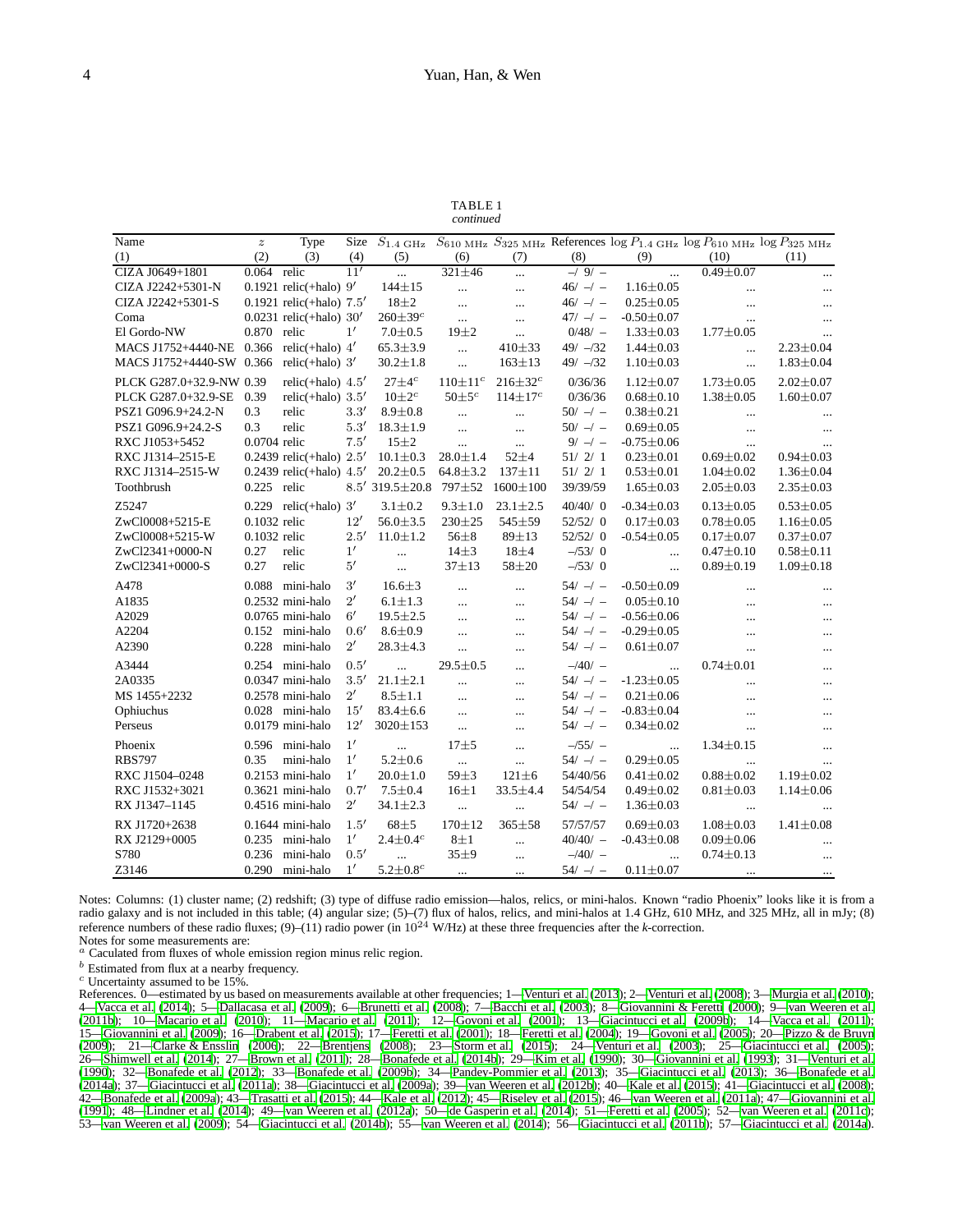TABLE 1 *continued*

| Name                     | $\boldsymbol{z}$ | Type                       | Size         |                         |                  |                  |              |                  | $S_{1.4 \text{ GHz}}$ $S_{610 \text{ MHz}}$ $S_{325 \text{ MHz}}$ References $\log P_{1.4 \text{ GHz}}$ $\log P_{610 \text{ MHz}}$ $\log P_{325 \text{ MHz}}$ |                 |
|--------------------------|------------------|----------------------------|--------------|-------------------------|------------------|------------------|--------------|------------------|---------------------------------------------------------------------------------------------------------------------------------------------------------------|-----------------|
| (1)                      | (2)              | (3)                        | (4)          | (5)                     | (6)              | (7)              | (8)          | (9)              | (10)                                                                                                                                                          | (11)            |
| CIZA J0649+1801          | 0.064 relic      |                            | 11'          | $\cdots$                | $321 \pm 46$     |                  | $-19/ -$     | $\ddotsc$        | $0.49 \pm 0.07$                                                                                                                                               | $\ldots$        |
| CIZA J2242+5301-N        |                  | 0.1921 relic(+halo) $9'$   |              | $144 \pm 15$            | $\ddotsc$        | $\cdots$         | $46/ -$      | $1.16 \pm 0.05$  | $\ldots$                                                                                                                                                      | $\ldots$        |
| CIZA J2242+5301-S        |                  | 0.1921 relic(+halo) $7.5'$ |              | $18 + 2$                | $\ddotsc$        |                  | $46/ -$      | $0.25 \pm 0.05$  |                                                                                                                                                               | $\cdots$        |
| Coma                     |                  | 0.0231 relic(+halo) $30'$  |              | $260 \pm 39^c$          | $\cdots$         |                  | $47/ -1 -$   | $-0.50 \pm 0.07$ |                                                                                                                                                               | $\ldots$        |
| El Gordo-NW              | 0.870 relic      |                            | $1^{\prime}$ | $7.0 \pm 0.5$           | $19\pm2$         | $\ddotsc$        | $0/48/$ -    | $1.33 \pm 0.03$  | $1.77 \pm 0.05$                                                                                                                                               | $\ddotsc$       |
| MACS J1752+4440-NE       | 0.366            | relic(+halo) $4'$          |              | $65.3 \pm 3.9$          | $\ddotsc$        | $410\pm33$       | $49/ -32$    | $1.44 \pm 0.03$  | $\dddotsc$                                                                                                                                                    | $2.23 \pm 0.04$ |
| MACS J1752+4440-SW 0.366 |                  | relic(+halo) $3'$          |              | $30.2 \pm 1.8$          | $\cdots$         | $163 \pm 13$     | $49/ - 32$   | $1.10 \pm 0.03$  | $\cdots$                                                                                                                                                      | $1.83 \pm 0.04$ |
| PLCK G287.0+32.9-NW 0.39 |                  | relic(+halo) $4.5'$        |              | $27\pm4$ <sup>c</sup>   | $110 \pm 11^{c}$ | $216 \pm 32^c$   | 0/36/36      | $1.12 \pm 0.07$  | $1.73 \pm 0.05$                                                                                                                                               | $2.02 \pm 0.07$ |
| PLCK G287.0+32.9-SE      | 0.39             | relic(+halo) $3.5'$        |              | $10\pm2^c$              | $50 \pm 5^c$     | $114 \pm 17^{c}$ | 0/36/36      | $0.68 \pm 0.10$  | $1.38 \pm 0.05$                                                                                                                                               | $1.60 \pm 0.07$ |
| PSZ1 G096.9+24.2-N       | 0.3              | relic                      | 3.3'         | $8.9 + 0.8$             | $\ddotsc$        |                  | $50/-/-$     | $0.38 \pm 0.21$  | $\cdots$                                                                                                                                                      | $\cdots$        |
| PSZ1 G096.9+24.2-S       | 0.3              | relic                      | 5.3'         | $18.3 \pm 1.9$          | $\ddotsc$        | $\cdots$         | $50/ - / -$  | $0.69 \pm 0.05$  | $\cdots$                                                                                                                                                      | $\cdots$        |
| RXC J1053+5452           | 0.0704 relic     |                            | 7.5'         | $15 + 2$                | $\cdots$         | $\cdots$         | $9/ - / -$   | $-0.75 \pm 0.06$ | $\cdots$                                                                                                                                                      | $\cdots$        |
| RXC J1314-2515-E         |                  | 0.2439 relic(+halo) $2.5'$ |              | $10.1 \pm 0.3$          | $28.0 \pm 1.4$   | $52 + 4$         | 51/2/1       | $0.23 \pm 0.01$  | $0.69 \pm 0.02$                                                                                                                                               | $0.94 \pm 0.03$ |
| RXC J1314-2515-W         |                  | 0.2439 relic(+halo) $4.5'$ |              | $20.2 \pm 0.5$          | $64.8 \pm 3.2$   | $137 + 11$       | 51/2/1       | $0.53 \pm 0.01$  | $1.04 \pm 0.02$                                                                                                                                               | $1.36 \pm 0.04$ |
| Toothbrush               | $0.225$ relic    |                            |              | $8.5'$ 319.5 $\pm$ 20.8 | 797±52           | 1600±100         | 39/39/59     | $1.65 \pm 0.03$  | $2.05 \pm 0.03$                                                                                                                                               | $2.35 \pm 0.03$ |
| Z5247                    |                  | $0.229$ relic(+halo) $3'$  |              | $3.1 \pm 0.2$           | $9.3 \pm 1.0$    | $23.1 \pm 2.5$   | 40/40/0      | $-0.34 \pm 0.03$ | $0.13 \pm 0.05$                                                                                                                                               | $0.53 \pm 0.05$ |
| ZwCl0008+5215-E          | 0.1032 relic     |                            | 12'          | $56.0 \pm 3.5$          | 230±25           | 545±59           | 52/52/0      | $0.17 + 0.03$    | $0.78 + 0.05$                                                                                                                                                 | $1.16 \pm 0.05$ |
| ZwCl0008+5215-W          | 0.1032 relic     |                            | 2.5'         | $11.0 \pm 1.2$          | $56 + 8$         | $89 + 13$        | 52/52/0      | $-0.54 \pm 0.05$ | $0.17 \pm 0.07$                                                                                                                                               | $0.37 \pm 0.07$ |
| ZwCl2341+0000-N          | 0.27             | relic                      | 1'           | $\ddotsc$               | $14\pm3$         | $18\pm4$         | $- / 53 / 0$ | $\cdots$         | $0.47 \pm 0.10$                                                                                                                                               | $0.58 \pm 0.11$ |
| ZwCl2341+0000-S          | 0.27             | relic                      | $5^{\prime}$ | $\cdots$                | $37 + 13$        | 58±20            | $-153/0$     | $\cdots$         | $0.89 \pm 0.19$                                                                                                                                               | $1.09 \pm 0.18$ |
| A478                     |                  | 0.088 mini-halo            | 3'           | $16.6 \pm 3$            | $\cdots$         | $\ddotsc$        | $54/ - / -$  | $-0.50 \pm 0.09$ | $\cdots$                                                                                                                                                      | $\cdots$        |
| A1835                    |                  | $0.2532$ mini-halo         | $2^{\prime}$ | $6.1 \pm 1.3$           | $\cdots$         | $\cdots$         | $54/ - / -$  | $0.05 \pm 0.10$  |                                                                                                                                                               | $\cdots$        |
| A2029                    |                  | $0.0765$ mini-halo         | $6^{\prime}$ | $19.5 \pm 2.5$          | $\cdots$         | $\cdots$         | $54/ - / -$  | $-0.56 \pm 0.06$ | $\cdots$                                                                                                                                                      | $\cdots$        |
| A2204                    |                  | 0.152 mini-halo            | 0.6'         | $8.6 + 0.9$             | $\cdots$         | $\cdots$         | $54/ - / -$  | $-0.29 \pm 0.05$ | $\ddotsc$                                                                                                                                                     | $\cdots$        |
| A2390                    | 0.228            | mini-halo                  | $2^{\prime}$ | $28.3 \pm 4.3$          | $\cdots$         |                  | $54/ - / -$  | $0.61 \pm 0.07$  | $\cdots$                                                                                                                                                      | $\cdots$        |
| A3444                    |                  | 0.254 mini-halo            | 0.5'         | $\ddotsc$               | $29.5 \pm 0.5$   | $\cdots$         | $-40/-$      | $\sim$           | $0.74 \pm 0.01$                                                                                                                                               | $\ldots$        |
| 2A0335                   |                  | $0.0347$ mini-halo         | 3.5'         | $21.1 \pm 2.1$          | $\ddotsc$        | $\cdots$         | $54/ - / -$  | $-1.23 \pm 0.05$ |                                                                                                                                                               | $\cdots$        |
| MS 1455+2232             |                  | 0.2578 mini-halo           | $2^{\prime}$ | $8.5 \pm 1.1$           | $\ddotsc$        |                  | $54/ - / -$  | $0.21 \pm 0.06$  |                                                                                                                                                               | $\cdots$        |
| Ophiuchus                |                  | 0.028 mini-halo            | 15'          | $83.4 \pm 6.6$          | $\ddotsc$        | $\cdots$         | $54/ - / -$  | $-0.83 \pm 0.04$ |                                                                                                                                                               | $\cdots$        |
| Perseus                  |                  | $0.0179$ mini-halo         | 12'          | 3020±153                | $\cdots$         |                  | $54/ - / -$  | $0.34 \pm 0.02$  |                                                                                                                                                               | $\cdots$        |
| Phoenix                  |                  | 0.596 mini-halo            | 1'           | $\ddotsc$               | $17 + 5$         | $\cdots$         | $-155/ -$    | $\cdots$         | $1.34 \pm 0.15$                                                                                                                                               | $\cdots$        |
| <b>RBS797</b>            | 0.35             | mini-halo                  | $1^{\prime}$ | $5.2 \pm 0.6$           | $\ddotsc$        | $\ddotsc$        | $54/ - / -$  | $0.29 \pm 0.05$  | $\ddotsc$                                                                                                                                                     | $\ddotsc$       |
| RXC J1504-0248           |                  | $0.2153$ mini-halo         | $1^{\prime}$ | $20.0 \pm 1.0$          | $59 + 3$         | $121 \pm 6$      | 54/40/56     | $0.41 \pm 0.02$  | $0.88 + 0.02$                                                                                                                                                 | $1.19 \pm 0.02$ |
| RXC J1532+3021           |                  | $0.3621$ mini-halo         | 0.7'         | $7.5 \pm 0.4$           | $16\pm1$         | 33.5±4.4         | 54/54/54     | $0.49 \pm 0.02$  | $0.81 \pm 0.03$                                                                                                                                               | $1.14 \pm 0.06$ |
| RX J1347-1145            |                  | $0.4516$ mini-halo         | $2^{\prime}$ | $34.1 \pm 2.3$          | $\ddots$         | $\cdots$         | $54/ -$      | $1.36 \pm 0.03$  | $\ldots$                                                                                                                                                      | $\cdots$        |
| RX J1720+2638            |                  | $0.1644$ mini-halo         | 1.5'         | $68 + 5$                | $170 + 12$       | $365 + 58$       | 57/57/57     | $0.69 \pm 0.03$  | $1.08 \pm 0.03$                                                                                                                                               | $1.41 \pm 0.08$ |
| RX J2129+0005            |                  | 0.235 mini-halo            | $1^{\prime}$ | $2.4 \pm 0.4^c$         | $8\pm1$          | $\ddotsc$        | $40/40/ -$   | $-0.43 \pm 0.08$ | $0.09 \pm 0.06$                                                                                                                                               | $\ldots$        |
| S780                     |                  | 0.236 mini-halo            | 0.5'         | $\cdots$                | 35±9             | $\ddotsc$        | $-40/-$      | $\cdots$         | $0.74 \pm 0.13$                                                                                                                                               | $\cdots$        |
| Z3146                    |                  | 0.290 mini-halo            | $1^{\prime}$ | $5.2{\pm}0.8^c$         |                  |                  | $54/ - / -$  | $0.11 \pm 0.07$  |                                                                                                                                                               |                 |
|                          |                  |                            |              |                         | $\ddotsc$        | $\cdots$         |              |                  | $\cdots$                                                                                                                                                      | $\cdots$        |

Notes: Columns: (1) cluster name; (2) redshift; (3) type of diffuse radio emission—halos, relics, or mini-halos. Known "radio Phoenix" looks like it is from a radio galaxy and is not included in this table; (4) angular size; (5)–(7) flux of halos, relics, and mini-halos at 1.4 GHz, 610 MHz, and 325 MHz, all in mJy; (8) reference numbers of these radio fluxes; (9)–(11) radio power (in 10<sup>24</sup> W/Hz) at these three frequencies after the *k*-correction. Notes for some measurements are:

<sup>a</sup> Caculated from fluxes of whole emission region minus relic region.

 $\sp{b}$  Estimated from flux at a nearby frequency.

 $c$  Uncertainty assumed to be 15%.

References. 0—estimated by us based on measurements available at other frequencies; 1[—Venturi et al. \(2013\)](#page-13-10); 2[—Venturi et al.](#page-13-11) [\(2008](#page-13-11)); 3[—Murgia et al. \(2010](#page-12-32)); 4[—Vacca et al. \(2014\)](#page-12-33); 5[—Dallacasa et al. \(2009](#page-12-34)); 6[—Brunetti et al. \(2008\)](#page-12-35); 7[—Bacchi et al. \(2003](#page-12-36)); 8[—Giovannini & Feretti \(2000\)](#page-12-17); 9[—van Weeren et al.](#page-13-3) [\(2011b](#page-13-3)); 10[—Macario et al. \(2010](#page-12-37)); 11[—Macario et al. \(2011](#page-12-38)); 12[—Govoni et al. \(2001](#page-12-39)); 13[—Giacintucci et al. \(2009b](#page-12-40)); 14[—Vacca et al. \(2011](#page-12-41)); 15[—Giovannini et al. \(2009\)](#page-12-42); 16[—Drabent et al. \(2015\)](#page-12-43); 17[—Feretti et al. \(2001\)](#page-12-44); 18[—Feretti et al. \(2004](#page-12-45)); 19[—Govoni et](#page-12-46) al. [\(2005\)](#page-12-46); 20[—Pizzo & de Bruyn](#page-12-47) [\(2009](#page-12-47)); 21[—Clarke & Ensslin \(2006](#page-12-48)); 22[—Brentjens \(2008\)](#page-12-49); 23[—Storm et al. \(2015\)](#page-12-50); 24[—Venturi et al. \(2003\)](#page-13-12); 25[—Giacintucci et al. \(2005](#page-12-51)); 26[—Shimwell et al. \(2014](#page-12-19)); 27[—Brown et al.](#page-12-52) [\(2011](#page-12-52)); 28[—Bonafede et al.](#page-12-53) [\(2014b](#page-12-53)); 29[—Kim et al. \(1990](#page-12-54)); 30[—Giovannini et al.](#page-12-55) [\(1993](#page-12-55)); 31[—Venturi et al.](#page-13-13) [\(1990](#page-13-13)); 32[—Bonafede et al. \(2012](#page-12-56)); 33[—Bonafede et al.](#page-12-57) [\(2009b](#page-12-57)); 34[—Pandey-Pommier et al. \(2013](#page-12-58)); 35[—Giacintucci et al.](#page-12-59) [\(2013](#page-12-59)); 36[—Bonafede et al.](#page-12-60) [\(2014a\)](#page-12-60); 37[—Giacintucci et al. \(2011a](#page-12-61)); 38[—Giacintucci et](#page-12-62) al. [\(2009a](#page-12-62)); 39[—van Weeren et al. \(2012b](#page-13-14)); 40[—Kale et al. \(2015](#page-12-3)); 41[—Giacintucci et al. \(2008](#page-12-63)); 42[—Bonafede et al. \(2009a\)](#page-12-64); 43[—Trasatti et al. \(2015\)](#page-12-18); 44[—Kale et al. \(2012\)](#page-12-65); 45[—Riseley et al. \(2015](#page-12-66)); 46[—van Weeren et](#page-12-67) al. [\(2011a](#page-12-67)); 47[—Giovannini et al.](#page-12-68) [\(1991](#page-12-68)); 48[—Lindner et al. \(2014\)](#page-12-69); 49[—van Weeren et al. \(2012a](#page-12-70)); 50[—de Gasperin et al. \(2014\)](#page-12-11); 51[—Feretti et al. \(2005\)](#page-12-71); 52[—van Weeren et al.](#page-13-15) [\(2011c](#page-13-15)); 53[—van Weeren et al. \(2009](#page-13-16)); 54[—Giacintucci et al. \(2014b\)](#page-12-72); 55[—van Weeren et al. \(2014\)](#page-13-17); 56[—Giacintucci et al. \(2011b](#page-12-73)); 57[—Giacintucci et al. \(2014a](#page-12-74)).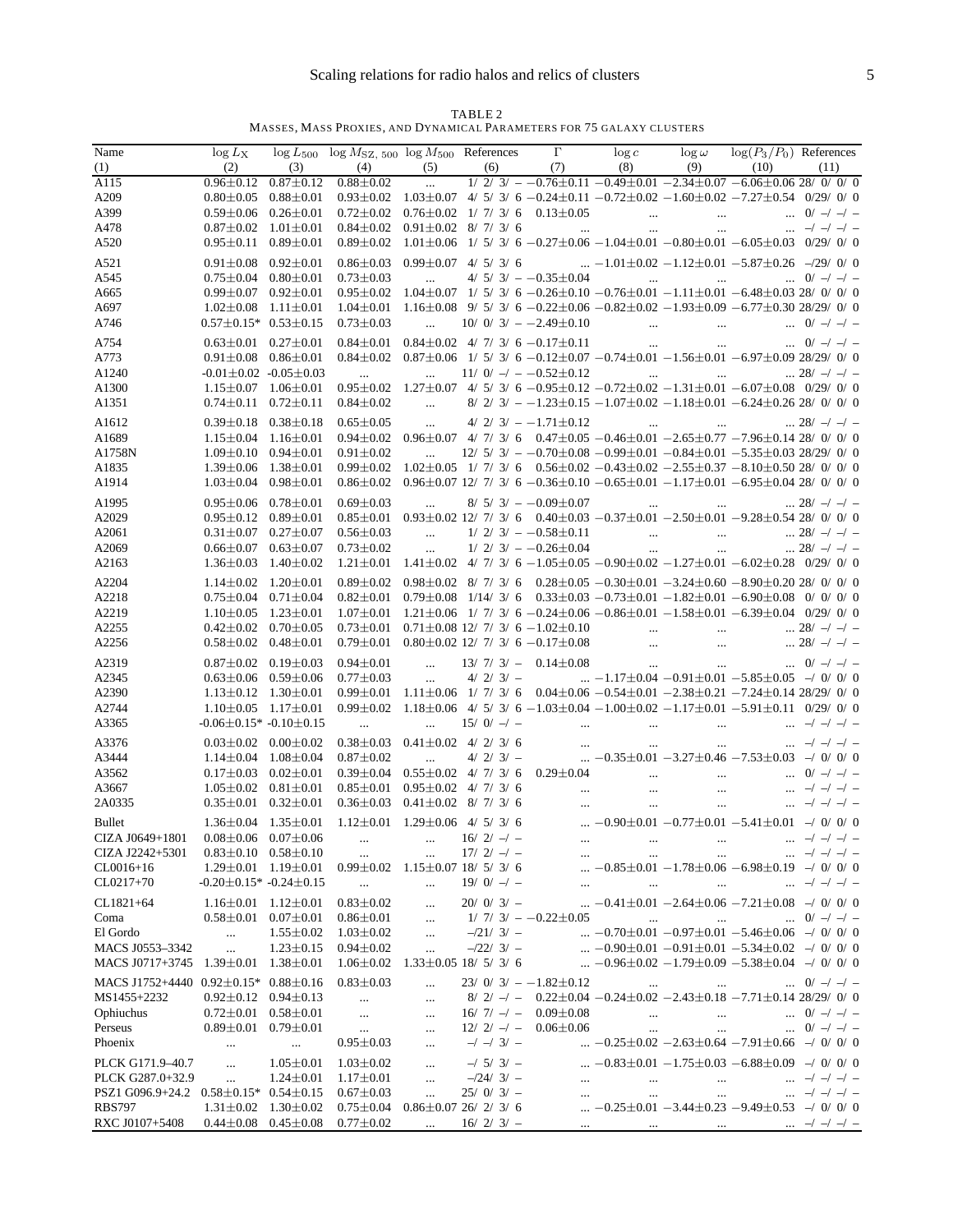TABLE 2 MASSES, MASS PROXIES, AND DYNAMICAL PARAMETERS FOR 75 GALAXY CLUSTERS

| Name                                                              |                                                                                            |                 | $\log L_X$ $\log L_{500}$ $\log M_{\rm SZ, 500}$ $\log M_{500}$ References $\Gamma$ $\log c$ $\log \omega$ $\log(P_3/P_0)$ References                                                                                                                                               |                                            |             |            |                            |  |                                                                                                                                                                                                                                                                 |  |  |
|-------------------------------------------------------------------|--------------------------------------------------------------------------------------------|-----------------|-------------------------------------------------------------------------------------------------------------------------------------------------------------------------------------------------------------------------------------------------------------------------------------|--------------------------------------------|-------------|------------|----------------------------|--|-----------------------------------------------------------------------------------------------------------------------------------------------------------------------------------------------------------------------------------------------------------------|--|--|
| (1)                                                               |                                                                                            |                 | (2) (3) (4) (5) (6) (7) (8) (9) (10) (11)                                                                                                                                                                                                                                           |                                            |             |            |                            |  |                                                                                                                                                                                                                                                                 |  |  |
| A115                                                              |                                                                                            |                 | $0.96 \pm 0.12 \quad 0.87 \pm 0.12 \quad 0.88 \pm 0.02 \quad \dots \quad 1/ 2/ 3/ -0.76 \pm 0.11 - 0.49 \pm 0.01 -2.34 \pm 0.07 -6.06 \pm 0.06 \, 28/ 0.01 \, 0.001 \, 0.001 \, 0.001 \, 0.001 \, 0.001 \, 0.001 \, 0.001 \, 0.001 \, 0.001 \, 0.001 \, 0.001 \, 0.001 \, 0.001 \,$ |                                            |             |            |                            |  |                                                                                                                                                                                                                                                                 |  |  |
| A209                                                              | $0.80 \pm 0.05$ $0.88 \pm 0.01$                                                            |                 | $0.93 \pm 0.02$ $1.03 \pm 0.07$ 4/ 5/ 3/ 6 $-0.24 \pm 0.11$ $-0.72 \pm 0.02$ $-1.60 \pm 0.02$ $-7.27 \pm 0.54$ 0/29/ 0/ 0                                                                                                                                                           |                                            |             |            |                            |  |                                                                                                                                                                                                                                                                 |  |  |
| A399                                                              | $0.59 \pm 0.06$ $0.26 \pm 0.01$                                                            |                 |                                                                                                                                                                                                                                                                                     |                                            |             |            |                            |  |                                                                                                                                                                                                                                                                 |  |  |
| A478                                                              | $0.87 \pm 0.02$ $1.01 \pm 0.01$                                                            |                 |                                                                                                                                                                                                                                                                                     |                                            |             |            |                            |  |                                                                                                                                                                                                                                                                 |  |  |
| A520                                                              | $0.95 \pm 0.11$ $0.89 \pm 0.01$                                                            |                 |                                                                                                                                                                                                                                                                                     |                                            |             |            |                            |  | $0.89\pm0.02$ 1.01 $\pm$ 0.06 1/ 5/ 3/ 6 -0.27 $\pm$ 0.06 -1.04 $\pm$ 0.01 -0.80 $\pm$ 0.01 -6.05 $\pm$ 0.03 0/29/ 0/ 0                                                                                                                                         |  |  |
|                                                                   |                                                                                            |                 |                                                                                                                                                                                                                                                                                     |                                            |             |            |                            |  |                                                                                                                                                                                                                                                                 |  |  |
| A521                                                              | $0.91 \pm 0.08$ $0.92 \pm 0.01$                                                            |                 |                                                                                                                                                                                                                                                                                     |                                            |             |            |                            |  | $0.86\pm0.03$ $0.99\pm0.07$ 4/ 5/ 3/ 6 $-1.01\pm0.02$ $-1.12\pm0.01$ $-5.87\pm0.26$ $-29/$ 0/ 0                                                                                                                                                                 |  |  |
| A545                                                              | $0.75 \pm 0.04$ $0.80 \pm 0.01$                                                            |                 | $0.73 \pm 0.03$                                                                                                                                                                                                                                                                     | $\mathbf{r} = \mathbf{r} \cdot \mathbf{r}$ |             |            |                            |  | $4/5/3/ - -0.35 \pm 0.04$ 0/ -/ -/ -                                                                                                                                                                                                                            |  |  |
| A665                                                              | $0.99 \pm 0.07$ $0.92 \pm 0.01$                                                            |                 |                                                                                                                                                                                                                                                                                     |                                            |             |            |                            |  | $0.95 \pm 0.02$ 1.04 $\pm$ 0.07 1/ 5/ 3/ 6 -0.26 $\pm$ 0.10 -0.76 $\pm$ 0.01 -1.11 $\pm$ 0.01 -6.48 $\pm$ 0.03 28/ 0/ 0/ 0                                                                                                                                      |  |  |
| A697                                                              | $1.02 \pm 0.08$ $1.11 \pm 0.01$                                                            |                 |                                                                                                                                                                                                                                                                                     |                                            |             |            |                            |  | $1.04\pm0.01$ $1.16\pm0.08$ 9/ 5/ 3/ 6 $-0.22\pm0.06$ $-0.82\pm0.02$ $-1.93\pm0.09$ $-6.77\pm0.30$ 28/29/ 0/ 0                                                                                                                                                  |  |  |
| A746                                                              | $0.57 \pm 0.15^*$ $0.53 \pm 0.15$                                                          |                 |                                                                                                                                                                                                                                                                                     |                                            |             |            |                            |  |                                                                                                                                                                                                                                                                 |  |  |
| A754                                                              | $0.63 \pm 0.01$ $0.27 \pm 0.01$                                                            |                 |                                                                                                                                                                                                                                                                                     |                                            |             |            |                            |  |                                                                                                                                                                                                                                                                 |  |  |
| A773                                                              | $0.91 \pm 0.08$ $0.86 \pm 0.01$                                                            |                 |                                                                                                                                                                                                                                                                                     |                                            |             |            |                            |  | $0.84 \pm 0.02$ $0.87 \pm 0.06$ 1/ 5/ 3/ 6 $-0.12 \pm 0.07$ $-0.74 \pm 0.01$ $-1.56 \pm 0.01$ $-6.97 \pm 0.09$ 28/29/ 0/ 0                                                                                                                                      |  |  |
| A1240                                                             | $-0.01 \pm 0.02$ $-0.05 \pm 0.03$                                                          |                 | and the company of the company                                                                                                                                                                                                                                                      |                                            |             |            | $11/0/- -0.52 \pm 0.12$    |  | $\cdots$ $\cdots$ $28/ -1 -1 -$                                                                                                                                                                                                                                 |  |  |
| A1300                                                             | $1.15 \pm 0.07$ $1.06 \pm 0.01$                                                            |                 |                                                                                                                                                                                                                                                                                     |                                            |             |            |                            |  | $0.95 \pm 0.02$ 1.27 $\pm$ 0.07 4/ 5/ 3/ 6 -0.95 $\pm$ 0.12 -0.72 $\pm$ 0.02 -1.31 $\pm$ 0.01 -6.07 $\pm$ 0.08 0/29/ 0/ 0                                                                                                                                       |  |  |
| A1351                                                             | $0.74 \pm 0.11$ $0.72 \pm 0.11$                                                            |                 | $0.84 \pm 0.02$                                                                                                                                                                                                                                                                     |                                            |             |            |                            |  | $8/2/3/=-1.23\pm0.15-1.07\pm0.02-1.18\pm0.01-6.24\pm0.26$ 28/ 0/ 0/ 0                                                                                                                                                                                           |  |  |
| A1612                                                             | $0.39 \pm 0.18$ $0.38 \pm 0.18$                                                            |                 | $0.65 \pm 0.05$                                                                                                                                                                                                                                                                     |                                            |             |            | $4/2/3/--1.71\pm0.12$      |  | $\cdots$ $\cdots$ $\cdots$ $28/-/-/-$                                                                                                                                                                                                                           |  |  |
| A1689                                                             | $1.15 \pm 0.04$ $1.16 \pm 0.01$                                                            |                 |                                                                                                                                                                                                                                                                                     |                                            |             |            |                            |  | $0.94 \pm 0.02$ $0.96 \pm 0.07$ 4/ 7/ 3/ 6 $0.47 \pm 0.05$ $-0.46 \pm 0.01$ $-2.65 \pm 0.77$ $-7.96 \pm 0.14$ 28/ 0/ 0/ 0                                                                                                                                       |  |  |
| A1758N                                                            | $1.09 \pm 0.10$ $0.94 \pm 0.01$                                                            |                 | $0.91 \pm 0.02$                                                                                                                                                                                                                                                                     |                                            |             |            |                            |  | $\ldots$ 12/ 5/ 3/ $-$ -0.70 $\pm$ 0.08 -0.99 $\pm$ 0.01 -0.84 $\pm$ 0.01 -5.35 $\pm$ 0.03 28/29/ 0/ 0                                                                                                                                                          |  |  |
|                                                                   |                                                                                            |                 |                                                                                                                                                                                                                                                                                     |                                            |             |            |                            |  |                                                                                                                                                                                                                                                                 |  |  |
| A1835                                                             | $1.39 \pm 0.06$ $1.38 \pm 0.01$                                                            |                 |                                                                                                                                                                                                                                                                                     |                                            |             |            |                            |  | $0.99 \pm 0.02$ $1.02 \pm 0.05$ 1/ 7/ 3/ 6 $0.56 \pm 0.02$ $-0.43 \pm 0.02$ $-2.55 \pm 0.37$ $-8.10 \pm 0.50$ 28/ 0/ 0/ 0                                                                                                                                       |  |  |
| A1914                                                             | $1.03 \pm 0.04$ 0.98 $\pm 0.01$                                                            |                 |                                                                                                                                                                                                                                                                                     |                                            |             |            |                            |  | $0.86\pm0.02$ $0.96\pm0.07$ 12/ 7/ 3/ 6 $-0.36\pm0.10$ $-0.65\pm0.01$ $-1.17\pm0.01$ $-6.95\pm0.04$ 28/ 0/ 0/ 0                                                                                                                                                 |  |  |
| A1995                                                             | $0.95 \pm 0.06$ $0.78 \pm 0.01$                                                            |                 | $0.69 \pm 0.03$                                                                                                                                                                                                                                                                     | $\sim 10^{-10}$                            |             |            |                            |  | $8/$ 5/ 3/ $ -0.09 \pm 0.07$ 28/ $-$ / $-$                                                                                                                                                                                                                      |  |  |
| A2029                                                             | $0.95 \pm 0.12$ $0.89 \pm 0.01$                                                            |                 |                                                                                                                                                                                                                                                                                     |                                            |             |            |                            |  | $0.85 \pm 0.01$ $0.93 \pm 0.02$ 12/ 7/ 3/ 6 $0.40 \pm 0.03$ $-0.37 \pm 0.01$ $-2.50 \pm 0.01$ $-9.28 \pm 0.54$ 28/ 0/ 0/ 0                                                                                                                                      |  |  |
| A2061                                                             | $0.31 \pm 0.07$ $0.27 \pm 0.07$                                                            |                 | $0.56 \pm 0.03$                                                                                                                                                                                                                                                                     | $\sim 100$ and $\sim 100$                  |             |            | $1/2/3/ -0.58 \pm 0.11$    |  |                                                                                                                                                                                                                                                                 |  |  |
| A2069                                                             | $0.66 \pm 0.07$ $0.63 \pm 0.07$                                                            |                 | $0.73 \pm 0.02$                                                                                                                                                                                                                                                                     |                                            |             |            | $1/2/3/- -0.26 \pm 0.04$   |  | $\cdots$ $\cdots$ $\cdots$ $\cdots$ $\cdots$ $\cdots$ $\cdots$ $\cdots$ $\cdots$ $\cdots$ $\cdots$ $\cdots$ $\cdots$ $\cdots$ $\cdots$ $\cdots$ $\cdots$ $\cdots$ $\cdots$ $\cdots$ $\cdots$ $\cdots$ $\cdots$ $\cdots$ $\cdots$                                |  |  |
| A2163                                                             | $1.36 \pm 0.03$ $1.40 \pm 0.02$                                                            |                 |                                                                                                                                                                                                                                                                                     |                                            |             |            |                            |  | $1.21 \pm 0.01$ $1.41 \pm 0.02$ 4/ 7/ 3/ 6 $-1.05 \pm 0.05$ $-0.90 \pm 0.02$ $-1.27 \pm 0.01$ $-6.02 \pm 0.28$ 0/29/ 0/ 0                                                                                                                                       |  |  |
| A2204                                                             |                                                                                            |                 |                                                                                                                                                                                                                                                                                     |                                            |             |            |                            |  | $0.89 \pm 0.02$ $0.98 \pm 0.02$ 8/7/3/6 $0.28 \pm 0.05$ $-0.30 \pm 0.01$ $-3.24 \pm 0.60$ $-8.90 \pm 0.20$ 28/0/0/0                                                                                                                                             |  |  |
|                                                                   | $1.14 \pm 0.02$ $1.20 \pm 0.01$                                                            |                 |                                                                                                                                                                                                                                                                                     |                                            |             |            |                            |  |                                                                                                                                                                                                                                                                 |  |  |
| A2218                                                             | $0.75 \pm 0.04$ $0.71 \pm 0.04$                                                            |                 |                                                                                                                                                                                                                                                                                     |                                            |             |            |                            |  | $0.82 \pm 0.01$ $0.79 \pm 0.08$ $1/14/3/6$ $0.33 \pm 0.03$ $-0.73 \pm 0.01$ $-1.82 \pm 0.01$ $-6.90 \pm 0.08$ 0/0/0                                                                                                                                             |  |  |
| A2219                                                             | $1.10 \pm 0.05$ $1.23 \pm 0.01$                                                            |                 |                                                                                                                                                                                                                                                                                     |                                            |             |            |                            |  | $1.07 \pm 0.01$ $1.21 \pm 0.06$ 1/ 7/ 3/ 6 $-0.24 \pm 0.06$ $-0.86 \pm 0.01$ $-1.58 \pm 0.01$ $-6.39 \pm 0.04$ 0/29/ 0/ 0                                                                                                                                       |  |  |
| A2255                                                             | $0.42 \pm 0.02$ $0.70 \pm 0.05$                                                            |                 |                                                                                                                                                                                                                                                                                     |                                            |             |            |                            |  | $0.73 \pm 0.01$ $0.71 \pm 0.08$ 12/ 7/ 3/ 6 $-1.02 \pm 0.10$ 28/ -/ -/ -                                                                                                                                                                                        |  |  |
| A2256                                                             | $0.58 \pm 0.02$ $0.48 \pm 0.01$                                                            |                 |                                                                                                                                                                                                                                                                                     |                                            |             |            |                            |  | $0.79 \pm 0.01 \quad 0.80 \pm 0.02 \ 12/ \ 7/ \ 3/ \ 6 \ -0.17 \pm 0.08 \qquad \qquad \ldots \qquad \qquad \ldots \qquad \qquad \ldots \qquad 28/ \ -/\ -1.00 \pm 0.01 \ 1.00 \pm 0.01 \ \ldots \qquad \qquad \ldots \qquad \ldots \qquad \ldots \qquad \ldots$ |  |  |
| A2319                                                             | $0.87 \pm 0.02$ $0.19 \pm 0.03$                                                            |                 | $0.94 \pm 0.01$                                                                                                                                                                                                                                                                     |                                            |             |            |                            |  | $13/7/3/- 0.14 \pm 0.08$ 0/-/-/-                                                                                                                                                                                                                                |  |  |
| A2345                                                             | $0.63 \pm 0.06$ $0.59 \pm 0.06$                                                            |                 | $0.77 + 0.03$                                                                                                                                                                                                                                                                       | $\mathbf{m}$                               |             |            |                            |  | $4/ 2/ 3/  -1.17 \pm 0.04$ $-0.91 \pm 0.01$ $-5.85 \pm 0.05$ $-/- 0/ 0/ 0$                                                                                                                                                                                      |  |  |
| A2390                                                             | $1.13 \pm 0.12$ $1.30 \pm 0.01$                                                            |                 |                                                                                                                                                                                                                                                                                     |                                            |             |            |                            |  | $0.99\pm0.01$ 1.11 $\pm0.06$ 1/ 7/ 3/ 6 0.04 $\pm0.06$ -0.54 $\pm0.01$ -2.38 $\pm0.21$ -7.24 $\pm0.14$ 28/29/ 0/ 0                                                                                                                                              |  |  |
| A2744                                                             | $1.10 \pm 0.05$ $1.17 \pm 0.01$                                                            |                 |                                                                                                                                                                                                                                                                                     |                                            |             |            |                            |  | $0.99 \pm 0.02$ 1.18 $\pm 0.06$ 4/ 5/ 3/ 6 -1.03 $\pm 0.04$ -1.00 $\pm 0.02$ -1.17 $\pm 0.01$ -5.91 $\pm 0.11$ 0/29/ 0/ 0                                                                                                                                       |  |  |
| A3365                                                             | $-0.06 \pm 0.15$ * $-0.10 \pm 0.15$                                                        |                 |                                                                                                                                                                                                                                                                                     |                                            |             |            |                            |  |                                                                                                                                                                                                                                                                 |  |  |
|                                                                   |                                                                                            |                 |                                                                                                                                                                                                                                                                                     |                                            |             |            |                            |  |                                                                                                                                                                                                                                                                 |  |  |
| A3376                                                             | $0.03 \pm 0.02$ $0.00 \pm 0.02$                                                            |                 |                                                                                                                                                                                                                                                                                     |                                            |             |            |                            |  |                                                                                                                                                                                                                                                                 |  |  |
| A3444                                                             | $1.14 \pm 0.04$ $1.08 \pm 0.04$                                                            |                 |                                                                                                                                                                                                                                                                                     |                                            |             |            |                            |  |                                                                                                                                                                                                                                                                 |  |  |
| A3562                                                             | $0.17 \pm 0.03$ $0.02 \pm 0.01$                                                            |                 |                                                                                                                                                                                                                                                                                     |                                            |             |            |                            |  |                                                                                                                                                                                                                                                                 |  |  |
| A3667                                                             | $1.05 \pm 0.02$ $0.81 \pm 0.01$                                                            |                 |                                                                                                                                                                                                                                                                                     |                                            |             |            |                            |  |                                                                                                                                                                                                                                                                 |  |  |
| 2A0335                                                            | $0.35 \pm 0.01$ $0.32 \pm 0.01$                                                            |                 |                                                                                                                                                                                                                                                                                     |                                            |             |            |                            |  |                                                                                                                                                                                                                                                                 |  |  |
| <b>Bullet</b>                                                     | $1.36 \pm 0.04$ $1.35 \pm 0.01$                                                            |                 | 1.12 $\pm$ 0.01   1.29 $\pm$ 0.06   4/ 5/ 3/ 6 $\ldots$ -0.90 $\pm$ 0.01 $-0.77\pm$ 0.01 $-5.41\pm$ 0.01 $\rightarrow$ 0/ 0/ 0                                                                                                                                                      |                                            |             |            |                            |  |                                                                                                                                                                                                                                                                 |  |  |
| CIZA J0649+1801 $0.08\pm0.06$ $0.07\pm0.06$                       |                                                                                            |                 |                                                                                                                                                                                                                                                                                     | $16/2/-/-$                                 |             |            |                            |  | $-1 -1 -$                                                                                                                                                                                                                                                       |  |  |
| CIZA J2242+5301                                                   | $0.83 \pm 0.10$ $0.58 \pm 0.10$                                                            |                 | $\ldots$ $\ldots$ $\frac{17}{2}$ $\frac{17}{2}$ $\frac{1}{2}$                                                                                                                                                                                                                       |                                            |             |            |                            |  |                                                                                                                                                                                                                                                                 |  |  |
| $CL0016+16$                                                       | $1.29 \pm 0.01$ $1.19 \pm 0.01$                                                            |                 | $0.99 \pm 0.02$ 1.15 $\pm$ 0.07 18/ 5/ 3/ 6                                                                                                                                                                                                                                         |                                            |             |            |                            |  | $\ldots$ -0.85 $\pm$ 0.01 -1.78 $\pm$ 0.06 -6.98 $\pm$ 0.19 -/ 0/ 0/ 0                                                                                                                                                                                          |  |  |
| $CL0217+70$                                                       | $-0.20 \pm 0.15$ * $-0.24 \pm 0.15$                                                        |                 | <b>Contract Contract</b>                                                                                                                                                                                                                                                            | $\mathbf{1}$ , $\mathbf{1}$                | $19/0/-$    |            |                            |  |                                                                                                                                                                                                                                                                 |  |  |
| $CL1821 + 64$                                                     |                                                                                            |                 |                                                                                                                                                                                                                                                                                     |                                            |             |            |                            |  | $\ldots$ -0.41 $\pm$ 0.01 -2.64 $\pm$ 0.06 -7.21 $\pm$ 0.08 -/ 0/ 0/ 0                                                                                                                                                                                          |  |  |
|                                                                   | $1.16 \pm 0.01$ $1.12 \pm 0.01$                                                            |                 | $0.83 \pm 0.02$                                                                                                                                                                                                                                                                     | $\sim 10^{11}$                             | $20/0/3/-$  |            |                            |  |                                                                                                                                                                                                                                                                 |  |  |
| Coma                                                              | $0.58 \pm 0.01$ $0.07 \pm 0.01$                                                            |                 | $0.86 \pm 0.01$                                                                                                                                                                                                                                                                     |                                            |             |            |                            |  | $1/7/3/- -0.22 \pm 0.05$ 0/ -/ -/ -                                                                                                                                                                                                                             |  |  |
| El Gordo                                                          | $\mathcal{L}_{\mathrm{max}}$ and $\mathcal{L}_{\mathrm{max}}$                              | $1.55 \pm 0.02$ | $1.03 \pm 0.02$                                                                                                                                                                                                                                                                     | $\sim$                                     | $-21/3/$    |            |                            |  | $-0.70 \pm 0.01$ $-0.97 \pm 0.01$ $-5.46 \pm 0.06$ $-/-0/-0/-0$                                                                                                                                                                                                 |  |  |
| MACS J0553-3342                                                   | $\sim 100$ and                                                                             | $1.23 \pm 0.15$ | $0.94 \pm 0.02$                                                                                                                                                                                                                                                                     | $-22/3/$                                   |             |            |                            |  | $-0.90 \pm 0.01$ $-0.91 \pm 0.01$ $-5.34 \pm 0.02$ $-/-0/-0/-0$                                                                                                                                                                                                 |  |  |
| MACS J0717+3745 $1.39 \pm 0.01$ $1.38 \pm 0.01$                   |                                                                                            |                 | $1.06 \pm 0.02$ $1.33 \pm 0.05$ 18/ 5/ 3/ 6                                                                                                                                                                                                                                         |                                            |             |            |                            |  | $-0.96 \pm 0.02$ $-1.79 \pm 0.09$ $-5.38 \pm 0.04$ $-/-0/-0/-0$                                                                                                                                                                                                 |  |  |
| MACS J1752+4440 $0.92 \pm 0.15$ * $0.88 \pm 0.16$                 |                                                                                            |                 | $0.83 \pm 0.03$                                                                                                                                                                                                                                                                     | $\mathbf{r} = \mathbf{r} \mathbf{r}$       |             |            | $23/0/3/ -1.82 \pm 0.12$   |  | $\cdots$ $\cdots$ $0/-/-/-$                                                                                                                                                                                                                                     |  |  |
| MS1455+2232                                                       | $0.92 \pm 0.12$ $0.94 \pm 0.13$                                                            |                 | $\sim 10^{10}$ km $^{-1}$                                                                                                                                                                                                                                                           | $\cdots$                                   |             |            |                            |  | $8/2/-/-$ 0.22 $\pm$ 0.04 -0.24 $\pm$ 0.02 -2.43 $\pm$ 0.18 -7.71 $\pm$ 0.14 28/29/0/0                                                                                                                                                                          |  |  |
| Ophiuchus                                                         | $0.72 \pm 0.01$ $0.58 \pm 0.01$                                                            |                 | $\sim 10^{-10}$                                                                                                                                                                                                                                                                     | $\sim$                                     |             |            | $16/7/- - 0.09 \pm 0.08$   |  |                                                                                                                                                                                                                                                                 |  |  |
| Perseus                                                           | $0.89 \pm 0.01$ $0.79 \pm 0.01$                                                            |                 | <b>Contractor</b>                                                                                                                                                                                                                                                                   | $\sim 100$                                 |             |            | $12/2/-/-$ 0.06 $\pm$ 0.06 |  | $\cdots$ $\cdots$ $\cdots$ $\cdots$ $\cdots$ $\frac{0}{-1}$                                                                                                                                                                                                     |  |  |
| Phoenix                                                           | $\mathcal{L}_{\text{max}}$ and $\mathcal{L}_{\text{max}}$ . The $\mathcal{L}_{\text{max}}$ |                 | $0.95 \pm 0.03$                                                                                                                                                                                                                                                                     | $\mathbf{r}_{\mathbf{r}}$ .                | $-/-3/-$    |            |                            |  | $-0.25 \pm 0.02$ $-2.63 \pm 0.64$ $-7.91 \pm 0.66$ $-7.07$ 07 0                                                                                                                                                                                                 |  |  |
|                                                                   |                                                                                            |                 |                                                                                                                                                                                                                                                                                     |                                            |             |            |                            |  |                                                                                                                                                                                                                                                                 |  |  |
| PLCK G171.9-40.7                                                  | $\mathcal{L}^{\text{max}}_{\text{max}}$                                                    | $1.05 \pm 0.01$ | $1.03 \pm 0.02$                                                                                                                                                                                                                                                                     | $\sim$                                     | $-/-5/-3/-$ |            |                            |  | $-0.83 \pm 0.01$ $-1.75 \pm 0.03$ $-6.88 \pm 0.09$ $-4$ 0/ 0/ 0                                                                                                                                                                                                 |  |  |
| PLCK G287.0+32.9                                                  | <b>Command</b>                                                                             | $1.24 \pm 0.01$ | $1.17 \pm 0.01$                                                                                                                                                                                                                                                                     | $\sim 100$                                 | $-24/3/$    |            |                            |  |                                                                                                                                                                                                                                                                 |  |  |
| PSZ1 G096.9+24.2 $0.58 \pm 0.15$ * $0.54 \pm 0.15$                |                                                                                            |                 | $0.67 \pm 0.03$                                                                                                                                                                                                                                                                     | $\sim$ $\sim$                              |             | $25/0/3/-$ |                            |  |                                                                                                                                                                                                                                                                 |  |  |
| RBS797                                                            | $1.31 \pm 0.02$ $1.30 \pm 0.02$                                                            |                 | $0.75 \pm 0.04$ $0.86 \pm 0.07$ 26/ 2/ 3/ 6                                                                                                                                                                                                                                         |                                            |             |            |                            |  | $-0.25 \pm 0.01$ $-3.44 \pm 0.23$ $-9.49 \pm 0.53$ $-/- 0/0/0$                                                                                                                                                                                                  |  |  |
| RXC J0107+5408  0.44 $\pm$ 0.08  0.45 $\pm$ 0.08  0.77 $\pm$ 0.02 |                                                                                            |                 |                                                                                                                                                                                                                                                                                     |                                            |             |            |                            |  | $16/2/3/  -/-/-$                                                                                                                                                                                                                                                |  |  |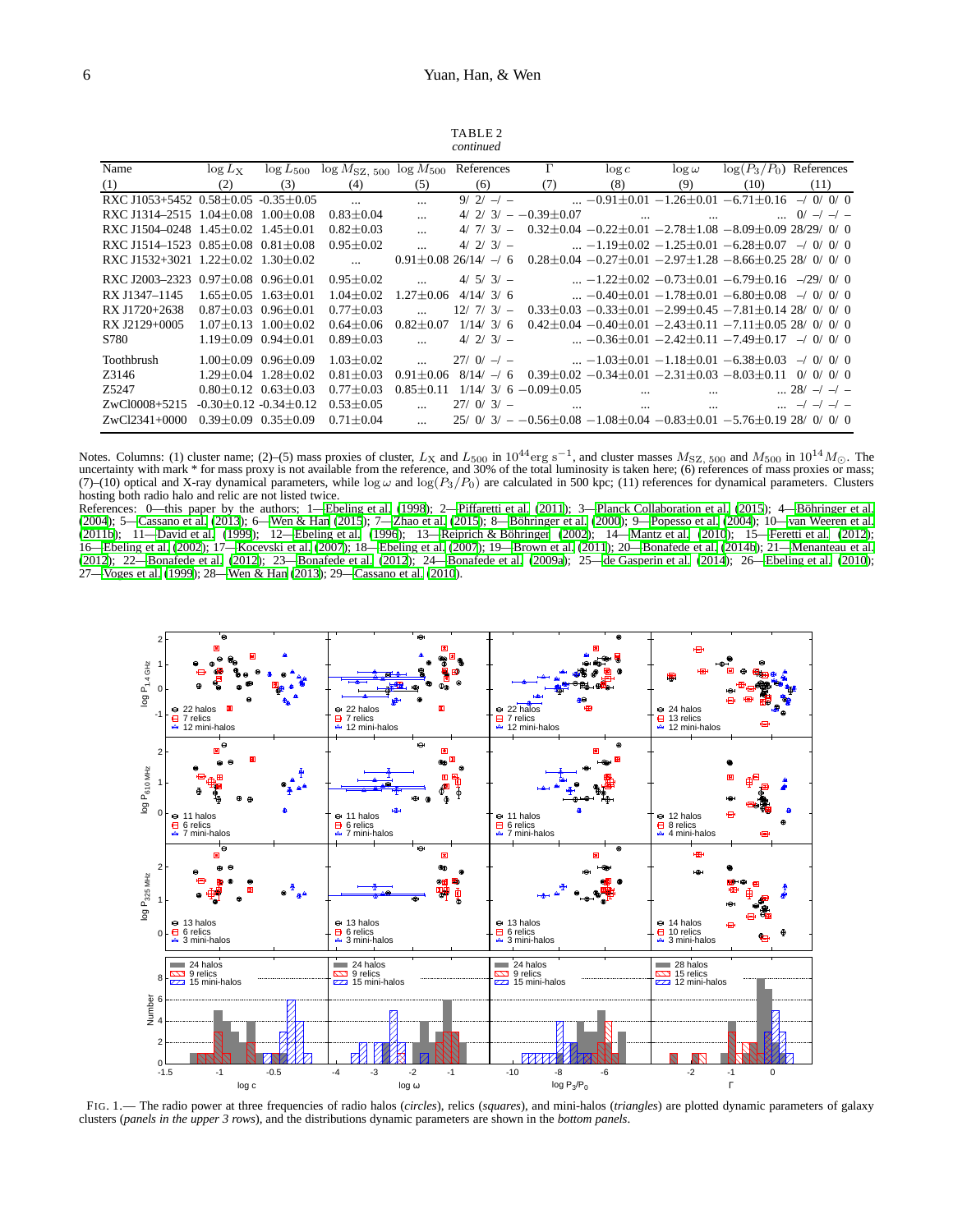| TABLE 2   |  |
|-----------|--|
| continued |  |

|                                                 |                                 |                                  |                                                                        |                 | conninca                     |                          |                          |                          |                                                                                       |                      |
|-------------------------------------------------|---------------------------------|----------------------------------|------------------------------------------------------------------------|-----------------|------------------------------|--------------------------|--------------------------|--------------------------|---------------------------------------------------------------------------------------|----------------------|
| Name                                            | $\log L_{\rm X}$                |                                  | $\log L_{500}$ $\log M_{\text{SZ}}$ $_{500}$ $\log M_{500}$ References |                 |                              | $\Gamma$                 | $\log c$                 | $\log \omega$            | $\log(P_3/P_0)$ References                                                            |                      |
| (1)                                             | (2)                             | (3)                              | (4)                                                                    | (5)             | (6)                          | (7)                      | (8)                      | (9)                      | (10)                                                                                  | (11)                 |
| RXC J1053+5452 0.58 $\pm$ 0.05 -0.35 $\pm$ 0.05 |                                 |                                  | $\overline{a}$                                                         | $\cdots$        | $9/2/ -1 -$                  |                          |                          |                          | $-0.91 \pm 0.01 - 1.26 \pm 0.01 - 6.71 \pm 0.16$                                      | $-1$ 0/ 0/ 0         |
| RXC J1314-2515 $1.04 \pm 0.08$ $1.00 \pm 0.08$  |                                 |                                  | $0.83 \pm 0.04$                                                        | $\cdots$        | 4/2/3/                       | $-0.39 \pm 0.07$         | <b>Contract Contract</b> | <b>Contract Contract</b> |                                                                                       | $\ldots$ 0/ -/ -/ -  |
| RXC J1504-0248 $1.45 + 0.02$ 1.45 + 0.01        |                                 |                                  | $0.82 \pm 0.03$                                                        | $\ddotsc$       | 4/7/<br>$3/-$                |                          |                          |                          | $0.32\pm0.04$ $-0.22\pm0.01$ $-2.78\pm1.08$ $-8.09\pm0.09$ 28/29/ 0/ 0                |                      |
| RXC J1514-1523 $0.85 \pm 0.08$ $0.81 \pm 0.08$  |                                 |                                  | $0.95 \pm 0.02$                                                        |                 | $4/2/3/-$                    |                          |                          |                          | $-1.19 \pm 0.02 - 1.25 \pm 0.01 - 6.28 \pm 0.07$                                      | $-1$ 0/ 0/ 0         |
| RXC J1532+3021 1.22+0.02 1.30+0.02              |                                 |                                  | $\sim$                                                                 |                 | $0.91 + 0.0826/14/ - 6$      |                          |                          |                          | $0.28 \pm 0.04 - 0.27 \pm 0.01 - 2.97 \pm 1.28 - 8.66 \pm 0.25$ 28/ 0/ 0/ 0           |                      |
| RXC J2003-2323 0.97+0.08 0.96+0.01              |                                 |                                  | $0.95 \pm 0.02$                                                        | $\cdots$        | $4/5/3/-$                    |                          |                          |                          | $-1.22 \pm 0.02 -0.73 \pm 0.01 -6.79 \pm 0.16$                                        | $-29/0/0$            |
| RX J1347-1145                                   | $1.65 + 0.05$                   | $1.63 + 0.01$                    | $1.04 + 0.02$                                                          | $1.27 + 0.06$   | 4/14/3/6                     |                          |                          |                          | $\ldots$ -0.40 $\pm$ 0.01 -1.78 $\pm$ 0.01 -6.80 $\pm$ 0.08                           | $-1$ 0/ 0/ 0         |
| RX J1720+2638                                   | $0.87 \pm 0.03$ $0.96 \pm 0.01$ |                                  | $0.77 \pm 0.03$                                                        |                 | 12/7/3/                      |                          |                          |                          | $0.33\pm0.03$ $-0.33\pm0.01$ $-2.99\pm0.45$ $-7.81\pm0.14$ 28/ 0/ 0/ 0                |                      |
| RX J2129+0005                                   |                                 | $1.07 + 0.13$ $1.00 + 0.02$      | $0.64 + 0.06$                                                          | $0.82 + 0.07$   | 1/14/<br>$\frac{3}{2}$<br>-6 |                          |                          |                          | $0.42 + 0.04 - 0.40 + 0.01 - 2.43 + 0.11 - 7.11 + 0.05$ 28/ 0/ 0/ 0                   |                      |
| S780                                            |                                 | $1.19 \pm 0.09$ $0.94 \pm 0.01$  | $0.89 + 0.03$                                                          |                 | $4/2/3/-$                    |                          |                          |                          | $\ldots$ -0.36 $\pm$ 0.01 -2.42 $\pm$ 0.11 -7.49 $\pm$ 0.17                           | $-1$ 0/ 0/ 0         |
| Toothbrush                                      |                                 | $1.00 \pm 0.09$ 0.96 $\pm$ 0.09  | $1.03 \pm 0.02$                                                        |                 | $27/0/-$                     |                          |                          |                          | $-1.03 \pm 0.01 - 1.18 \pm 0.01 - 6.38 \pm 0.03$                                      | $-/-0/-0/-0$         |
| Z3146                                           |                                 | $1.29 \pm 0.04$ $1.28 \pm 0.02$  | $0.81 \pm 0.03$                                                        | $0.91 + 0.06$   | $8/14/ - 6$                  |                          |                          |                          | $0.39 \pm 0.02 -0.34 \pm 0.01 -2.31 \pm 0.03 -8.03 \pm 0.11$                          | 0/0/0/0              |
| 7.5247                                          |                                 | $0.80 + 0.12$ $0.63 + 0.03$      | $0.77 + 0.03$                                                          | $0.85 \pm 0.11$ |                              | $1/14/3/6 - 0.09 + 0.05$ | $\ddotsc$                |                          |                                                                                       | $\ldots$ 28/ -/ -/ - |
| ZwCl0008+5215                                   |                                 | $-0.30 \pm 0.12 - 0.34 \pm 0.12$ | $0.53 \pm 0.05$                                                        |                 | $27/0/3/-$                   | $\ddotsc$                | $\ddotsc$                |                          |                                                                                       | $$ $-/ -/-$          |
| $ZwCl2341+0000$                                 |                                 | $0.39 \pm 0.09$ $0.35 \pm 0.09$  | $0.71 + 0.04$                                                          |                 |                              |                          |                          |                          | $25/0$ $3/$ - $-0.56\pm0.08$ $-1.08\pm0.04$ $-0.83\pm0.01$ $-5.76\pm0.19$ 28/ 0/ 0/ 0 |                      |

Notes. Columns: (1) cluster name; (2)–(5) mass proxies of cluster,  $L_X$  and  $L_{500}$  in  $10^{44}$  erg s<sup>-1</sup>, and cluster masses  $M_{SZ}$ ,  $_{500}$  and  $M_{500}$  in  $10^{14}$   $M_{\odot}$ . The uncertainty with mark \* for mass proxy (7)–(10) optical and X-ray dynamical parameters, while  $\log \omega$  and  $\log(P_3/P_0)$  are calculated in 500 kpc; (11) references for dynamical parameters. Clusters hosting both radio halo and relic are not listed twice.

References: 0—this paper by the authors; 1[—Ebeling et al. \(1998\)](#page-12-22); 2[—Piffaretti et al.](#page-12-75) [\(2011](#page-12-75)); 3[—Planck Collaboration et al. \(2015\)](#page-12-27); 4—Böhringer et al. [\(2004](#page-12-25)); 5[—Cassano et al. \(2013](#page-12-8)); 6[—Wen & Han \(2015](#page-13-7)); 7[—Zhao et al. \(2015\)](#page-13-5); 8—Böhringer et al. (2000); 9[—Popesso et al. \(2004](#page-12-76)); 10[—van Weeren et al.](#page-13-3) [\(2011b](#page-13-3)); 11[—David et al. \(1999\)](#page-12-77); 12[—Ebeling et al. \(1996\)](#page-12-21); 13—Reiprich & Böhringer [\(2002](#page-12-78)); 14[—Mantz et al. \(2010](#page-12-26)); 15[—Feretti et al. \(2012](#page-12-0)); 16[—Ebeling et al. \(2002\)](#page-12-79); 17[—Kocevski et al. \(2007\)](#page-12-80); 18[—Ebeling et al. \(2007](#page-12-81)); 19[—Brown et al. \(2011](#page-12-52)); 20[—Bonafede et al. \(2014b\)](#page-12-53); 21[—Menanteau et al.](#page-12-82) [\(2012](#page-12-82)); 22[—Bonafede et al. \(2012\)](#page-12-56); 23[—Bonafede et al. \(2012](#page-12-56)); 24[—Bonafede et al. \(2009a](#page-12-64)); 25[—de Gasperin et al. \(2014](#page-12-11)); 26[—Ebeling et al. \(2010](#page-12-83)); 27[—Voges et al. \(1999](#page-13-18)); 28[—Wen & Han \(2013](#page-13-2)); 29[—Cassano et al. \(2010\)](#page-12-1).



<span id="page-5-0"></span>FIG. 1.— The radio power at three frequencies of radio halos (*circles*), relics (*squares*), and mini-halos (*triangles*) are plotted dynamic parameters of galaxy clusters (*panels in the upper 3 rows*), and the distributions dynamic parameters are shown in the *bottom panels*.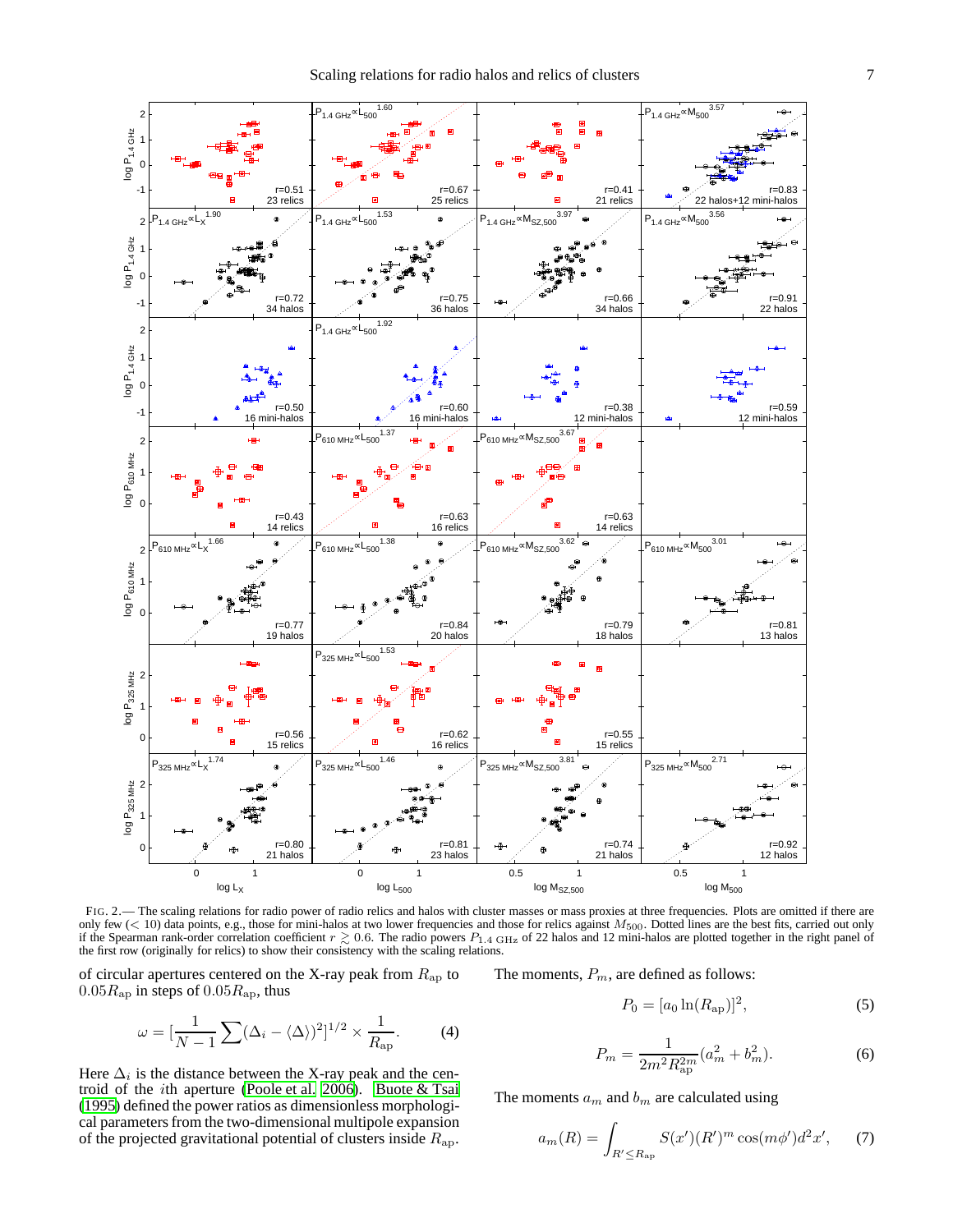

<span id="page-6-0"></span>FIG. 2.— The scaling relations for radio power of radio relics and halos with cluster masses or mass proxies at three frequencies. Plots are omitted if there are only few  $(< 10$ ) data points, e.g., those for mini-halos at two lower frequencies and those for relics against  $M_{500}$ . Dotted lines are the best fits, carried out only if the Spearman rank-order correlation coefficient  $r \geq 0.6$ . The radio powers  $P_{1.4 \text{ GHz}}$  of 22 halos and 12 mini-halos are plotted together in the right panel of the first row (originally for relics) to show their consistency with the scaling relations.

of circular apertures centered on the X-ray peak from  $R_{\rm ap}$  to  $0.05R_{\rm ap}$  in steps of  $0.05R_{\rm ap}$ , thus

$$
\omega = \left[\frac{1}{N-1}\sum (\Delta_i - \langle \Delta \rangle)^2\right]^{1/2} \times \frac{1}{R_{\rm ap}}.\tag{4}
$$

Here  $\Delta_i$  is the distance between the X-ray peak and the centroid of the *i*th aperture [\(Poole et al. 2006](#page-12-29)). Buote  $&$  Tsai [\(1995](#page-12-30)) defined the power ratios as dimensionless morphological parameters from the two-dimensional multipole expansion of the projected gravitational potential of clusters inside  $R_{\rm ap}$ .

The moments,  $P_m$ , are defined as follows:

$$
P_0 = [a_0 \ln(R_{\rm ap})]^2, \tag{5}
$$

$$
P_m = \frac{1}{2m^2 R_{\rm ap}^{2m}} (a_m^2 + b_m^2). \tag{6}
$$

The moments  $a_m$  and  $b_m$  are calculated using

$$
a_m(R) = \int_{R' \le R_{\rm ap}} S(x')(R')^m \cos(m\phi')d^2x', \quad (7)
$$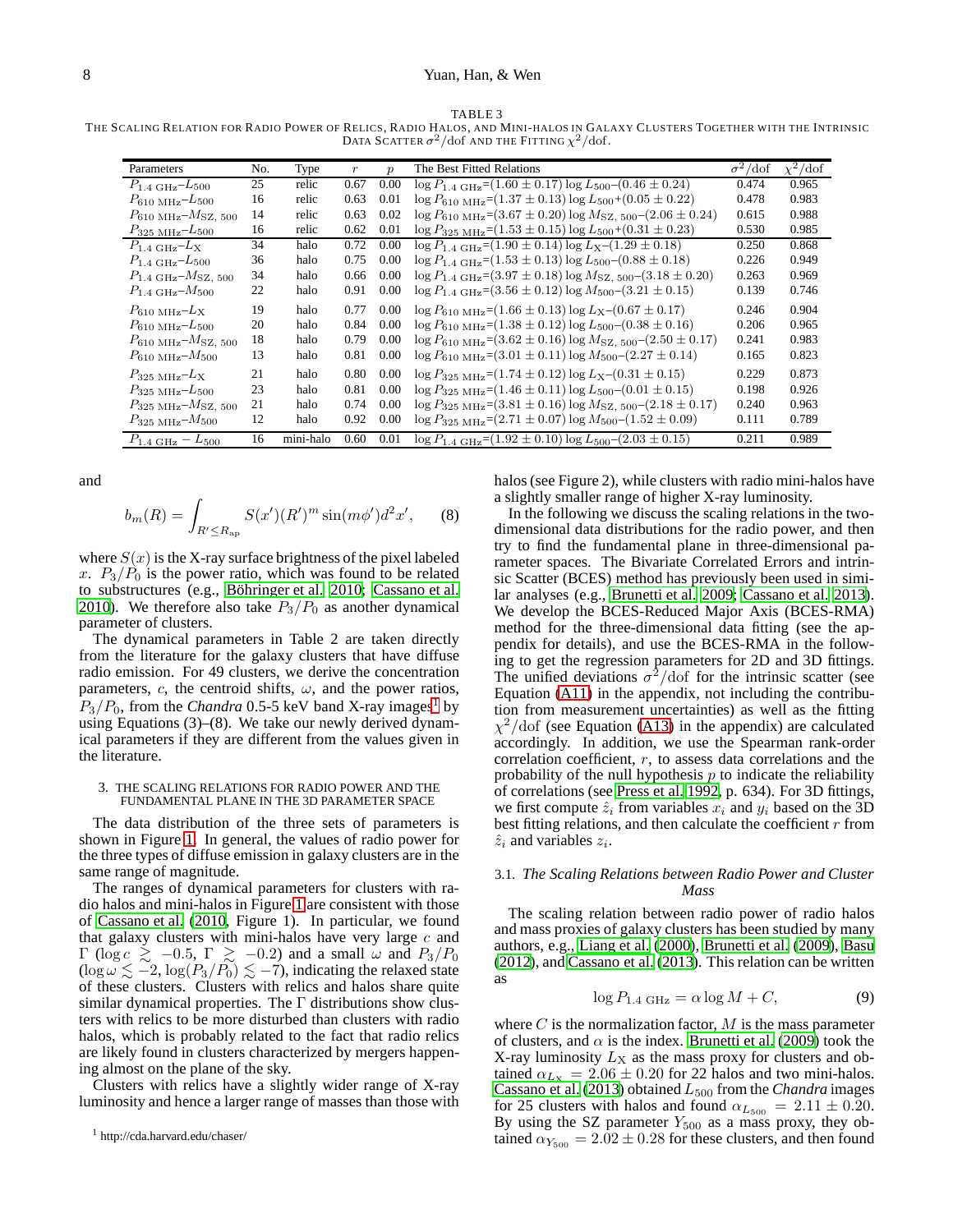TABLE 3

THE SCALING RELATION FOR RADIO POWER OF RELICS, RADIO HALOS, AND MINI-HALOS IN GALAXY CLUSTERS TOGETHER WITH THE INTRINSIC DATA SCATTER  $\sigma^2/dof$  and the Fitting  $\chi^2/dof$ .

| Parameters                                    | No. | Type      | $\boldsymbol{r}$ | $\boldsymbol{p}$ | The Best Fitted Relations                                                                      | $\overline{\sigma^2}/\text{dof}$ | $\chi^2/\text{dof}$ |
|-----------------------------------------------|-----|-----------|------------------|------------------|------------------------------------------------------------------------------------------------|----------------------------------|---------------------|
| $P_{1.4\ \text{GHz}}$ – $L_{500}$             | 25  | relic     | 0.67             | 0.00             | $\log P_{1.4 \text{ GHz}} = (1.60 \pm 0.17) \log L_{500} - (0.46 \pm 0.24)$                    | 0.474                            | 0.965               |
| $P_{610 \text{ MHz}} - L_{500}$               | 16  | relic     | 0.63             | 0.01             | $\log P_{610 \text{ MHz}} = (1.37 \pm 0.13) \log L_{500} + (0.05 \pm 0.22)$                    | 0.478                            | 0.983               |
| $P_{610 \text{ MHz}}$ - $M_{\text{SZ}}$ , 500 | 14  | relic     | 0.63             | 0.02             | $\log P_{610 \text{ MHz}} = (3.67 \pm 0.20) \log M_{\text{SZ}}$ , $_{500}$ – $(2.06 \pm 0.24)$ | 0.615                            | 0.988               |
| $P_{325\ \mathrm{MHz}}$ - $L_{500}$           | 16  | relic     | 0.62             | 0.01             | $\log P_{325 \text{ MHz}} = (1.53 \pm 0.15) \log L_{500} + (0.31 \pm 0.23)$                    | 0.530                            | 0.985               |
| $P_{1.4\,\mathrm{GHz}}$ - $L_{\rm X}$         | 34  | halo      | 0.72             | 0.00             | $\log P_{1.4 \text{ GHz}} = (1.90 \pm 0.14) \log L_{\text{X}} - (1.29 \pm 0.18)$               | 0.250                            | 0.868               |
| $P_{1.4\ \text{GHz}}$ - $L_{500}$             | 36  | halo      | 0.75             | 0.00             | $\log P_{1.4 \text{ GHz}} = (1.53 \pm 0.13) \log L_{500} - (0.88 \pm 0.18)$                    | 0.226                            | 0.949               |
| $P_{1.4 \text{ GHz}} - M_{\text{SZ}, 500}$    | 34  | halo      | 0.66             | 0.00             | $\log P_{1.4 \text{ GHz}} = (3.97 \pm 0.18) \log M_{\text{SZ}}$ , $_{500}$ – $(3.18 \pm 0.20)$ | 0.263                            | 0.969               |
| $P_{1.4\ \text{GHz}}$ - $M_{500}$             | 22  | halo      | 0.91             | 0.00             | $\log P_{1.4 \text{ GHz}} = (3.56 \pm 0.12) \log M_{500} - (3.21 \pm 0.15)$                    | 0.139                            | 0.746               |
| $P_{610 \text{ MHz}}$ -L <sub>X</sub>         | 19  | halo      | 0.77             | 0.00             | $\log P_{610 \text{ MHz}} = (1.66 \pm 0.13) \log L_{\text{X}} - (0.67 \pm 0.17)$               | 0.246                            | 0.904               |
| $P_{610 \text{ MHz}} - L_{500}$               | 20  | halo      | 0.84             | 0.00             | $\log P_{610 \text{ MHz}} = (1.38 \pm 0.12) \log L_{500} - (0.38 \pm 0.16)$                    | 0.206                            | 0.965               |
| $P_{610 \text{ MHz}} - M_{SZ, 500}$           | 18  | halo      | 0.79             | 0.00             | $\log P_{610 \text{ MHz}} = (3.62 \pm 0.16) \log M_{\text{SZ}}$ , $_{500}$ – $(2.50 \pm 0.17)$ | 0.241                            | 0.983               |
| $P_{610\text{ MHz}} - M_{500}$                | 13  | halo      | 0.81             | 0.00             | $\log P_{610 \text{ MHz}} = (3.01 \pm 0.11) \log M_{500} - (2.27 \pm 0.14)$                    | 0.165                            | 0.823               |
| $P_{325\ MHz}$ -L <sub>X</sub>                | 21  | halo      | 0.80             | 0.00             | $\log P_{325 \text{ MHz}} = (1.74 \pm 0.12) \log L_{\text{X}} - (0.31 \pm 0.15)$               | 0.229                            | 0.873               |
| $P_{325\ MHz} - L_{500}$                      | 23  | halo      | 0.81             | 0.00             | $\log P_{325 \text{ MHz}} = (1.46 \pm 0.11) \log L_{500} - (0.01 \pm 0.15)$                    | 0.198                            | 0.926               |
| $P_{325\ MHz}$ - $M_{\text{SZ}}$ , 500        | 21  | halo      | 0.74             | 0.00             | $\log P_{325 \text{ MHz}} = (3.81 \pm 0.16) \log M_{\text{SZ}}$ , $_{500}$ – $(2.18 \pm 0.17)$ | 0.240                            | 0.963               |
| $P_{325\,\mathrm{MHz}}$ - $M_{500}$           | 12  | halo      | 0.92             | 0.00             | $\log P_{325 \text{ MHz}} = (2.71 \pm 0.07) \log M_{500} - (1.52 \pm 0.09)$                    | 0.111                            | 0.789               |
| $P_{1.4\text{ GHz}} - L_{500}$                | 16  | mini-halo | 0.60             | 0.01             | $\log P_{1.4 \text{ GHz}} = (1.92 \pm 0.10) \log L_{500} - (2.03 \pm 0.15)$                    | 0.211                            | 0.989               |

and

$$
b_m(R) = \int_{R' \le R_{\rm ap}} S(x')(R')^m \sin(m\phi')d^2x', \qquad (8)
$$

where  $S(x)$  is the X-ray surface brightness of the pixel labeled x.  $P_3/P_0$  is the power ratio, which was found to be related to substructures (e.g., Böhringer et al. 2010; [Cassano et al.](#page-12-1) [2010\)](#page-12-1). We therefore also take  $P_3/P_0$  as another dynamical parameter of clusters.

The dynamical parameters in Table 2 are taken directly from the literature for the galaxy clusters that have diffuse radio emission. For 49 clusters, we derive the concentration parameters, c, the centroid shifts,  $\omega$ , and the power ratios,  $P_3/P_0$ , from the *Chandra* 0.5-5 keV band X-ray images<sup>[1](#page-7-0)</sup> by using Equations (3)–(8). We take our newly derived dynamical parameters if they are different from the values given in the literature.

### 3. THE SCALING RELATIONS FOR RADIO POWER AND THE FUNDAMENTAL PLANE IN THE 3D PARAMETER SPACE

The data distribution of the three sets of parameters is shown in Figure [1.](#page-5-0) In general, the values of radio power for the three types of diffuse emission in galaxy clusters are in the same range of magnitude.

The ranges of dynamical parameters for clusters with radio halos and mini-halos in Figure [1](#page-5-0) are consistent with those of [Cassano et al. \(2010](#page-12-1), Figure 1). In particular, we found that galaxy clusters with mini-halos have very large  $c$  and  $\Gamma$  (log  $c \ge -0.5$ ,  $\Gamma \ge -0.2$ ) and a small  $\omega$  and  $P_3/P_0$  $(\log \omega \lesssim -2, \log(P_3/P_0) \lesssim -7)$ , indicating the relaxed state of these clusters. Clusters with relics and halos share quite similar dynamical properties. The  $\Gamma$  distributions show clusters with relics to be more disturbed than clusters with radio halos, which is probably related to the fact that radio relics are likely found in clusters characterized by mergers happening almost on the plane of the sky.

Clusters with relics have a slightly wider range of X-ray luminosity and hence a larger range of masses than those with halos (see Figure 2), while clusters with radio mini-halos have a slightly smaller range of higher X-ray luminosity.

In the following we discuss the scaling relations in the twodimensional data distributions for the radio power, and then try to find the fundamental plane in three-dimensional parameter spaces. The Bivariate Correlated Errors and intrinsic Scatter (BCES) method has previously been used in similar analyses (e.g., [Brunetti et al. 2009](#page-12-7); [Cassano et al. 2013](#page-12-8)). We develop the BCES-Reduced Major Axis (BCES-RMA) method for the three-dimensional data fitting (see the appendix for details), and use the BCES-RMA in the following to get the regression parameters for 2D and 3D fittings. The unified deviations  $\sigma^2$ /dof for the intrinsic scatter (see Equation [\(A11\)](#page-12-84) in the appendix, not including the contribution from measurement uncertainties) as well as the fitting  $\chi^2$ /dof (see Equation [\(A13\)](#page-12-85) in the appendix) are calculated accordingly. In addition, we use the Spearman rank-order correlation coefficient, r, to assess data correlations and the probability of the null hypothesis  $p$  to indicate the reliability of correlations (see [Press et al. 1992,](#page-12-86) p. 634). For 3D fittings, we first compute  $\hat{z}_i$  from variables  $x_i$  and  $y_i$  based on the 3D best fitting relations, and then calculate the coefficient  $r$  from  $\hat{z}_i$  and variables  $z_i$ .

## 3.1. *The Scaling Relations between Radio Power and Cluster Mass*

The scaling relation between radio power of radio halos and mass proxies of galaxy clusters has been studied by many authors, e.g., [Liang et al.](#page-12-5) [\(2000\)](#page-12-5), [Brunetti et al. \(2009](#page-12-7)), [Basu](#page-12-15) [\(2012\)](#page-12-15), and [Cassano et al.](#page-12-8) [\(2013\)](#page-12-8). This relation can be written as

<span id="page-7-1"></span>
$$
\log P_{1.4 \text{ GHz}} = \alpha \log M + C,\tag{9}
$$

where  $C$  is the normalization factor,  $M$  is the mass parameter of clusters, and  $\alpha$  is the index. [Brunetti et al. \(2009\)](#page-12-7) took the X-ray luminosity  $L_X$  as the mass proxy for clusters and obtained  $\alpha_{Lx} = 2.06 \pm 0.20$  for 22 halos and two mini-halos. [Cassano et al. \(2013\)](#page-12-8) obtained  $L_{500}$  from the *Chandra* images for 25 clusters with halos and found  $\alpha_{L_{500}} = 2.11 \pm 0.20$ . By using the SZ parameter  $Y_{500}$  as a mass proxy, they obtained  $\alpha_{Y_{500}} = 2.02 \pm 0.28$  for these clusters, and then found

<span id="page-7-0"></span><sup>1</sup> http://cda.harvard.edu/chaser/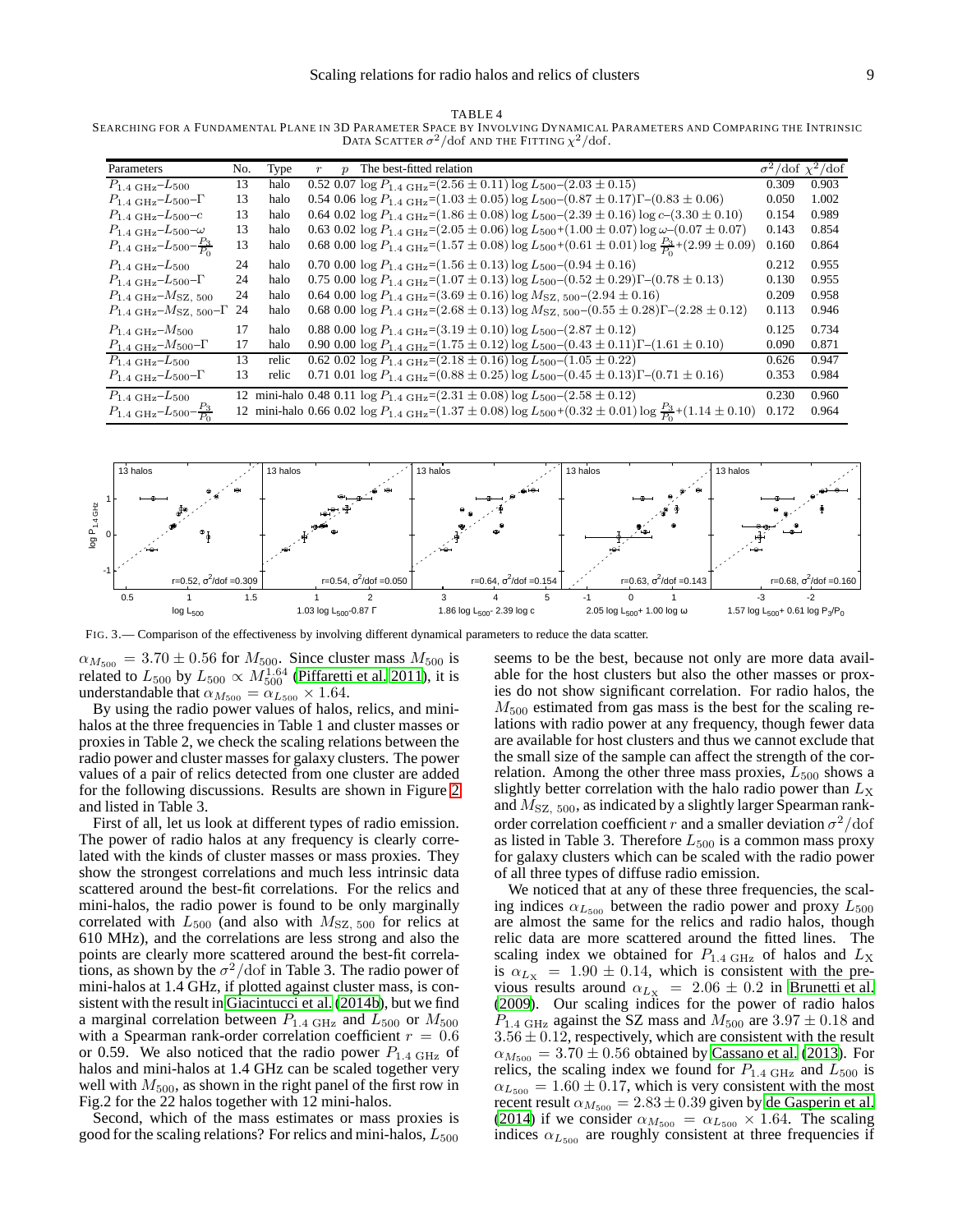TABLE 4 SEARCHING FOR A FUNDAMENTAL PLANE IN 3D PARAMETER SPACE BY INVOLVING DYNAMICAL PARAMETERS AND COMPARING THE INTRINSIC **DATA SCATTER**  $\sigma^2/d$ of AND THE FITTING  $\chi^2/d$ of.

| Parameters                                                 | No. | Type  | $\boldsymbol{p}$ | The best-fitted relation                                                                                                                  |       | $\sigma^2/\text{dof } \chi^2/\text{dof}$ |
|------------------------------------------------------------|-----|-------|------------------|-------------------------------------------------------------------------------------------------------------------------------------------|-------|------------------------------------------|
| $P_{1.4\,\mathrm{GHz}}$ - $L_{500}$                        | 13  | halo  |                  | 0.52 0.07 $\log P_{1.4 \text{ GHz}} = (2.56 \pm 0.11) \log L_{500} - (2.03 \pm 0.15)$                                                     | 0.309 | 0.903                                    |
| $P_{1.4\,\mathrm{GHz}}$ - $L_{500}$ - $\Gamma$             | 13  | halo  |                  | 0.54 0.06 $\log P_{1.4 \text{ GHz}} = (1.03 \pm 0.05) \log L_{500} - (0.87 \pm 0.17) \Gamma - (0.83 \pm 0.06)$                            | 0.050 | 1.002                                    |
| $P_{1.4\ \text{GHz}}$ - $L_{500}$ - $c$                    | 13  | halo  |                  | 0.64 0.02 $\log P_{1.4 \text{ GHz}} = (1.86 \pm 0.08) \log L_{500} - (2.39 \pm 0.16) \log c - (3.30 \pm 0.10)$                            | 0.154 | 0.989                                    |
| $P_{1.4\ \text{GHz}}$ - $L_{500}$ - $\omega$               | 13  | halo  |                  | 0.63 0.02 $\log P_{1.4 \text{ GHz}} = (2.05 \pm 0.06) \log L_{500} + (1.00 \pm 0.07) \log \omega - (0.07 \pm 0.07)$                       | 0.143 | 0.854                                    |
| $P_{1.4\ \text{GHz}} - L_{500} - \frac{P_3}{P_0}$          | 13  | halo  |                  | 0.68 0.00 log $P_{1.4 \text{ GHz}} = (1.57 \pm 0.08) \log L_{500} + (0.61 \pm 0.01) \log \frac{P_3}{P_0} + (2.99 \pm 0.09)$               | 0.160 | 0.864                                    |
| $P_{1.4\text{ GHz}}$ - $L_{500}$                           | 24  | halo  |                  | 0.70 0.00 $\log P_{1.4 \text{ GHz}} = (1.56 \pm 0.13) \log L_{500} - (0.94 \pm 0.16)$                                                     | 0.212 | 0.955                                    |
| $P_{1.4\ \text{GHz}}$ -L <sub>500</sub> - $\Gamma$         | 24  | halo  |                  | 0.75 0.00 $\log P_{1.4 \text{ GHz}} = (1.07 \pm 0.13) \log L_{500} - (0.52 \pm 0.29) \Gamma - (0.78 \pm 0.13)$                            | 0.130 | 0.955                                    |
| $P_{1.4\text{ GHz}}$ - $M$ sz, 500                         | 24  | halo  |                  | 0.64 0.00 $\log P_{1.4 \text{ GHz}} = (3.69 \pm 0.16) \log M_{\text{SZ}}$ 500 - $(2.94 \pm 0.16)$                                         | 0.209 | 0.958                                    |
| $P_{1.4 \text{ GHz}}$ - $M_{\text{SZ}}$ , 500- $\Gamma$ 24 |     | halo  |                  | 0.68 0.00 log $P_{1.4 \text{ GHz}} = (2.68 \pm 0.13)$ log $M_{\text{SZ}}$ , $_{500}$ – $(0.55 \pm 0.28)$ – $(2.28 \pm 0.12)$              | 0.113 | 0.946                                    |
| $P_{1.4\ \text{GHz}} - M_{500}$                            | 17  | halo  |                  | 0.88 0.00 $\log P_{1.4 \text{ GHz}} = (3.19 \pm 0.10) \log L_{500} - (2.87 \pm 0.12)$                                                     | 0.125 | 0.734                                    |
| $P_{1.4\ \text{GHz}}$ - $M_{500}$ - $\Gamma$               | 17  | halo  |                  | 0.90 0.00 $\log P_{1.4 \text{ GHz}} = (1.75 \pm 0.12) \log L_{500} - (0.43 \pm 0.11) \Gamma - (1.61 \pm 0.10)$                            | 0.090 | 0.871                                    |
| $P_{1.4\,\mathrm{GHz}}$ - $L_{500}$                        | 13  | relic |                  | 0.62 0.02 $\log P_{1.4 \text{ GHz}} = (2.18 \pm 0.16) \log L_{500} - (1.05 \pm 0.22)$                                                     | 0.626 | 0.947                                    |
| $P_{1.4\text{ GHz}}$ - $L_{500}$ - $\Gamma$                | 13  | relic |                  | 0.71 0.01 $\log P_{1.4 \text{ GHz}} = (0.88 \pm 0.25) \log L_{500} - (0.45 \pm 0.13) \Gamma - (0.71 \pm 0.16)$                            | 0.353 | 0.984                                    |
| $P_{1.4\text{ GHz}}$ - $L_{500}$                           |     |       |                  | 12 mini-halo 0.48 0.11 $\log P_{1.4 \text{ GHz}} = (2.31 \pm 0.08) \log L_{500} - (2.58 \pm 0.12)$                                        | 0.230 | 0.960                                    |
| $P_{1.4\ \text{GHz}} - L_{500} - \frac{P_3}{P_0}$          |     |       |                  | 12 mini-halo 0.66 0.02 $\log P_{1.4 \text{ GHz}} = (1.37 \pm 0.08) \log L_{500} + (0.32 \pm 0.01) \log \frac{P_3}{P_0} + (1.14 \pm 0.10)$ | 0.172 | 0.964                                    |



<span id="page-8-0"></span>FIG. 3.— Comparison of the effectiveness by involving different dynamical parameters to reduce the data scatter.

 $\alpha_{M_{500}} = 3.70 \pm 0.56$  for  $M_{500}$ . Since cluster mass  $M_{500}$  is related to  $L_{500}$  by  $L_{500} \propto M_{500}^{1.64}$  [\(Piffaretti et al. 2011\)](#page-12-75), it is understandable that  $\alpha_{M_{500}} = \alpha_{L_{500}} \times 1.64$ .

By using the radio power values of halos, relics, and minihalos at the three frequencies in Table 1 and cluster masses or proxies in Table 2, we check the scaling relations between the radio power and cluster masses for galaxy clusters. The power values of a pair of relics detected from one cluster are added for the following discussions. Results are shown in Figure [2](#page-6-0) and listed in Table 3.

First of all, let us look at different types of radio emission. The power of radio halos at any frequency is clearly correlated with the kinds of cluster masses or mass proxies. They show the strongest correlations and much less intrinsic data scattered around the best-fit correlations. For the relics and mini-halos, the radio power is found to be only marginally correlated with  $L_{500}$  (and also with  $M_{SZ, 500}$  for relics at 610 MHz), and the correlations are less strong and also the points are clearly more scattered around the best-fit correlations, as shown by the  $\sigma^2/dof$  in Table 3. The radio power of mini-halos at 1.4 GHz, if plotted against cluster mass, is consistent with the result in [Giacintucci et al.](#page-12-72) [\(2014b\)](#page-12-72), but we find a marginal correlation between  $P_{1.4 \text{ GHz}}$  and  $L_{500}$  or  $M_{500}$ with a Spearman rank-order correlation coefficient  $r = 0.6$ or 0.59. We also noticed that the radio power  $P_{1.4 \text{ GHz}}$  of halos and mini-halos at 1.4 GHz can be scaled together very well with  $M_{500}$ , as shown in the right panel of the first row in Fig.2 for the 22 halos together with 12 mini-halos.

Second, which of the mass estimates or mass proxies is good for the scaling relations? For relics and mini-halos,  $L_{500}$ 

seems to be the best, because not only are more data available for the host clusters but also the other masses or proxies do not show significant correlation. For radio halos, the  $M_{500}$  estimated from gas mass is the best for the scaling relations with radio power at any frequency, though fewer data are available for host clusters and thus we cannot exclude that the small size of the sample can affect the strength of the correlation. Among the other three mass proxies,  $L_{500}$  shows a slightly better correlation with the halo radio power than  $L_X$ and  $M_{SZ, 500}$ , as indicated by a slightly larger Spearman rankorder correlation coefficient r and a smaller deviation  $\sigma^2/\text{dof}$ as listed in Table 3. Therefore  $L_{500}$  is a common mass proxy for galaxy clusters which can be scaled with the radio power of all three types of diffuse radio emission.

We noticed that at any of these three frequencies, the scaling indices  $\alpha_{L_{500}}$  between the radio power and proxy  $L_{500}$ are almost the same for the relics and radio halos, though relic data are more scattered around the fitted lines. The scaling index we obtained for  $P_{1.4 \text{ GHz}}$  of halos and  $L_{\text{X}}$ is  $\alpha_{L_x}$  = 1.90  $\pm$  0.14, which is consistent with the previous results around  $\alpha_{L_X}$  = 2.06  $\pm$  0.2 in [Brunetti et al.](#page-12-7) [\(2009\)](#page-12-7). Our scaling indices for the power of radio halos  $P_{1.4 \text{ GHz}}$  against the SZ mass and  $M_{500}$  are  $3.97 \pm 0.18$  and  $3.56 \pm 0.12$ , respectively, which are consistent with the result  $\alpha_{M_{500}} = 3.70 \pm 0.56$  obtained by [Cassano et al.](#page-12-8) [\(2013\)](#page-12-8). For relics, the scaling index we found for  $P_{1.4 \text{ GHz}}$  and  $L_{500}$  is  $\alpha_{L_{500}} = 1.60 \pm 0.17$ , which is very consistent with the most recent result  $\alpha_{M_{500}} = 2.83 \pm 0.39$  given by [de Gasperin et al.](#page-12-11) [\(2014\)](#page-12-11) if we consider  $\alpha_{M_{500}} = \alpha_{L_{500}} \times 1.64$ . The scaling indices  $\alpha_{L_{500}}$  are roughly consistent at three frequencies if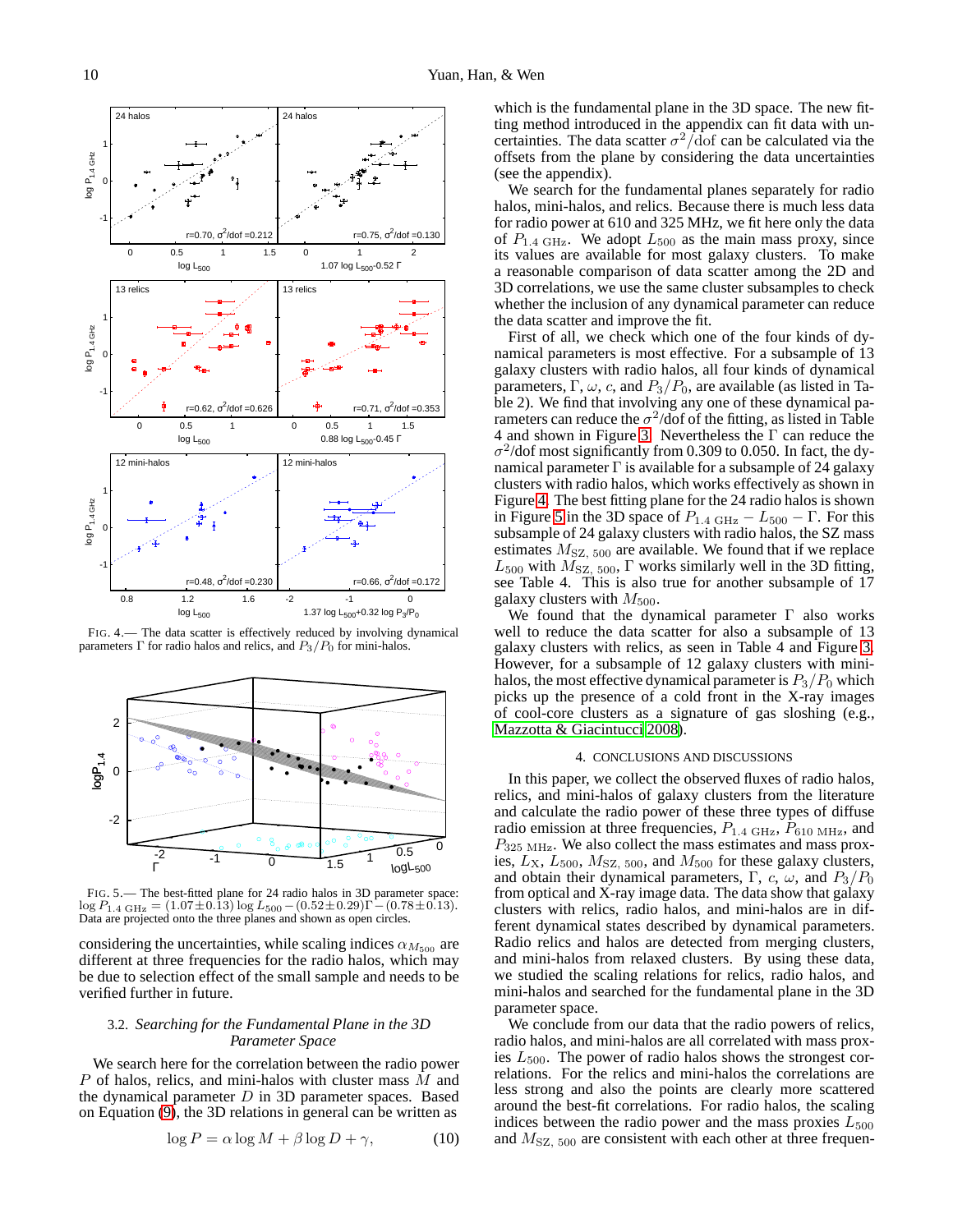

<span id="page-9-0"></span>FIG. 4.— The data scatter is effectively reduced by involving dynamical parameters  $\Gamma$  for radio halos and relics, and  $P_3/P_0$  for mini-halos.



<span id="page-9-1"></span>FIG. 5.— The best-fitted plane for 24 radio halos in 3D parameter space:  $\log P_{1.4 \text{ GHz}} = (1.07 \pm 0.13) \log L_{500} - (0.52 \pm 0.29) \Gamma - (0.78 \pm 0.13).$ Data are projected onto the three planes and shown as open circles.

considering the uncertainties, while scaling indices  $\alpha_{M_{500}}$  are different at three frequencies for the radio halos, which may be due to selection effect of the small sample and needs to be verified further in future.

### 3.2. *Searching for the Fundamental Plane in the 3D Parameter Space*

We search here for the correlation between the radio power P of halos, relics, and mini-halos with cluster mass M and the dynamical parameter  $D$  in 3D parameter spaces. Based on Equation [\(9\)](#page-7-1), the 3D relations in general can be written as

$$
\log P = \alpha \log M + \beta \log D + \gamma,\tag{10}
$$

which is the fundamental plane in the 3D space. The new fitting method introduced in the appendix can fit data with uncertainties. The data scatter  $\sigma^2/\text{dof}$  can be calculated via the offsets from the plane by considering the data uncertainties (see the appendix).

We search for the fundamental planes separately for radio halos, mini-halos, and relics. Because there is much less data for radio power at 610 and 325 MHz, we fit here only the data of  $P_{1.4 \text{ GHz}}$ . We adopt  $L_{500}$  as the main mass proxy, since its values are available for most galaxy clusters. To make a reasonable comparison of data scatter among the 2D and 3D correlations, we use the same cluster subsamples to check whether the inclusion of any dynamical parameter can reduce the data scatter and improve the fit.

First of all, we check which one of the four kinds of dynamical parameters is most effective. For a subsample of 13 galaxy clusters with radio halos, all four kinds of dynamical parameters,  $\Gamma$ ,  $\omega$ , c, and  $P_3/P_0$ , are available (as listed in Table 2). We find that involving any one of these dynamical parameters can reduce the  $\sigma^2$ /dof of the fitting, as listed in Table 4 and shown in Figure [3.](#page-8-0) Nevertheless the Γ can reduce the  $\sigma^2$ /dof most significantly from 0.309 to 0.050. In fact, the dynamical parameter  $\Gamma$  is available for a subsample of 24 galaxy clusters with radio halos, which works effectively as shown in Figure [4.](#page-9-0) The best fitting plane for the 24 radio halos is shown in Figure [5](#page-9-1) in the 3D space of  $P_{1.4 \text{ GHz}} - L_{500} - \Gamma$ . For this subsample of 24 galaxy clusters with radio halos, the SZ mass estimates  $M_{\text{SZ}}$ ,  $_{500}$  are available. We found that if we replace  $L_{500}$  with  $M_{SZ, 500}$ ,  $\Gamma$  works similarly well in the 3D fitting, see Table 4. This is also true for another subsample of 17 galaxy clusters with  $M_{500}$ .

We found that the dynamical parameter  $\Gamma$  also works well to reduce the data scatter for also a subsample of 13 galaxy clusters with relics, as seen in Table 4 and Figure [3.](#page-8-0) However, for a subsample of 12 galaxy clusters with minihalos, the most effective dynamical parameter is  $P_3/P_0$  which picks up the presence of a cold front in the X-ray images of cool-core clusters as a signature of gas sloshing (e.g., [Mazzotta & Giacintucci 2008\)](#page-12-87).

### 4. CONCLUSIONS AND DISCUSSIONS

In this paper, we collect the observed fluxes of radio halos, relics, and mini-halos of galaxy clusters from the literature and calculate the radio power of these three types of diffuse radio emission at three frequencies,  $P_{1.4 \text{ GHz}}, P_{610 \text{ MHz}},$  and  $P_{325 \text{ MHz}}$ . We also collect the mass estimates and mass proxies,  $L_{\rm X}$ ,  $L_{500}$ ,  $M_{\rm SZ, 500}$ , and  $M_{500}$  for these galaxy clusters, and obtain their dynamical parameters, Γ, c,  $\omega$ , and  $P_3/P_0$ from optical and X-ray image data. The data show that galaxy clusters with relics, radio halos, and mini-halos are in different dynamical states described by dynamical parameters. Radio relics and halos are detected from merging clusters, and mini-halos from relaxed clusters. By using these data, we studied the scaling relations for relics, radio halos, and mini-halos and searched for the fundamental plane in the 3D parameter space.

We conclude from our data that the radio powers of relics, radio halos, and mini-halos are all correlated with mass proxies  $L_{500}$ . The power of radio halos shows the strongest correlations. For the relics and mini-halos the correlations are less strong and also the points are clearly more scattered around the best-fit correlations. For radio halos, the scaling indices between the radio power and the mass proxies  $L_{500}$ and  $M_{SZ, 500}$  are consistent with each other at three frequen-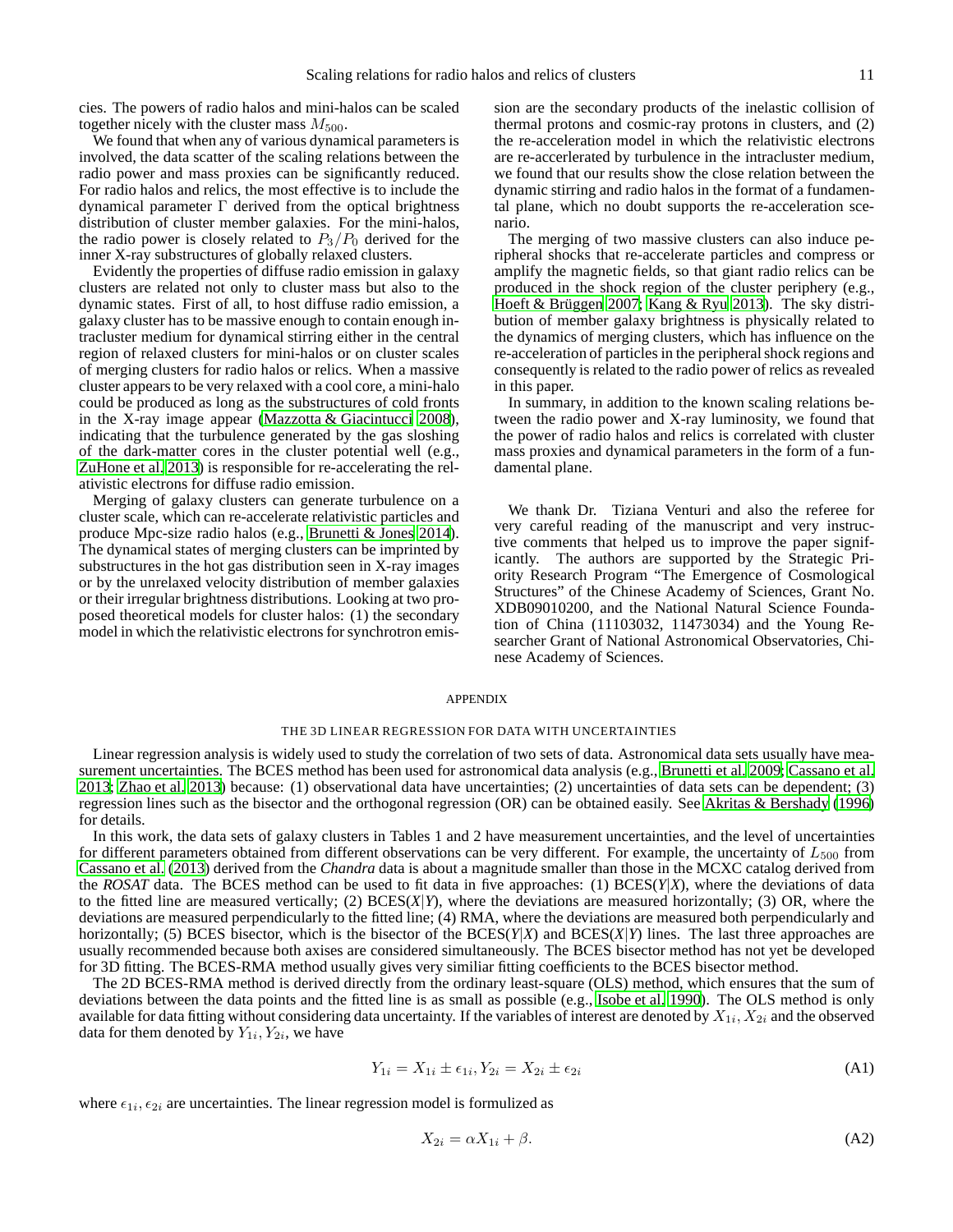cies. The powers of radio halos and mini-halos can be scaled together nicely with the cluster mass  $M_{500}$ .

We found that when any of various dynamical parameters is involved, the data scatter of the scaling relations between the radio power and mass proxies can be significantly reduced. For radio halos and relics, the most effective is to include the dynamical parameter Γ derived from the optical brightness distribution of cluster member galaxies. For the mini-halos, the radio power is closely related to  $P_3/P_0$  derived for the inner X-ray substructures of globally relaxed clusters.

Evidently the properties of diffuse radio emission in galaxy clusters are related not only to cluster mass but also to the dynamic states. First of all, to host diffuse radio emission, a galaxy cluster has to be massive enough to contain enough intracluster medium for dynamical stirring either in the central region of relaxed clusters for mini-halos or on cluster scales of merging clusters for radio halos or relics. When a massive cluster appears to be very relaxed with a cool core, a mini-halo could be produced as long as the substructures of cold fronts in the X-ray image appear [\(Mazzotta & Giacintucci 2008\)](#page-12-87), indicating that the turbulence generated by the gas sloshing of the dark-matter cores in the cluster potential well (e.g., [ZuHone et al. 2013\)](#page-13-19) is responsible for re-accelerating the relativistic electrons for diffuse radio emission.

Merging of galaxy clusters can generate turbulence on a cluster scale, which can re-accelerate relativistic particles and produce Mpc-size radio halos (e.g., [Brunetti & Jones 2014\)](#page-12-4). The dynamical states of merging clusters can be imprinted by substructures in the hot gas distribution seen in X-ray images or by the unrelaxed velocity distribution of member galaxies or their irregular brightness distributions. Looking at two proposed theoretical models for cluster halos: (1) the secondary model in which the relativistic electrons for synchrotron emis-

sion are the secondary products of the inelastic collision of thermal protons and cosmic-ray protons in clusters, and (2) the re-acceleration model in which the relativistic electrons are re-accerlerated by turbulence in the intracluster medium, we found that our results show the close relation between the dynamic stirring and radio halos in the format of a fundamental plane, which no doubt supports the re-acceleration scenario.

The merging of two massive clusters can also induce peripheral shocks that re-accelerate particles and compress or amplify the magnetic fields, so that giant radio relics can be produced in the shock region of the cluster periphery (e.g., Hoeft & Brüggen 2007; [Kang & Ryu 2013\)](#page-12-89). The sky distribution of member galaxy brightness is physically related to the dynamics of merging clusters, which has influence on the re-acceleration of particles in the peripheral shock regions and consequently is related to the radio power of relics as revealed in this paper.

In summary, in addition to the known scaling relations between the radio power and X-ray luminosity, we found that the power of radio halos and relics is correlated with cluster mass proxies and dynamical parameters in the form of a fundamental plane.

We thank Dr. Tiziana Venturi and also the referee for very careful reading of the manuscript and very instructive comments that helped us to improve the paper significantly. The authors are supported by the Strategic Priority Research Program "The Emergence of Cosmological Structures" of the Chinese Academy of Sciences, Grant No. XDB09010200, and the National Natural Science Foundation of China (11103032, 11473034) and the Young Researcher Grant of National Astronomical Observatories, Chinese Academy of Sciences.

### APPENDIX

#### THE 3D LINEAR REGRESSION FOR DATA WITH UNCERTAINTIES

Linear regression analysis is widely used to study the correlation of two sets of data. Astronomical data sets usually have measurement uncertainties. The BCES method has been used for astronomical data analysis (e.g., [Brunetti et al. 2009;](#page-12-7) [Cassano et al.](#page-12-8) [2013;](#page-12-8) [Zhao et al. 2013\)](#page-13-20) because: (1) observational data have uncertainties; (2) uncertainties of data sets can be dependent; (3) regression lines such as the bisector and the orthogonal regression (OR) can be obtained easily. See [Akritas & Bershady](#page-12-90) [\(1996\)](#page-12-90) for details.

In this work, the data sets of galaxy clusters in Tables 1 and 2 have measurement uncertainties, and the level of uncertainties for different parameters obtained from different observations can be very different. For example, the uncertainty of  $L_{500}$  from [Cassano et al.](#page-12-8) [\(2013\)](#page-12-8) derived from the *Chandra* data is about a magnitude smaller than those in the MCXC catalog derived from the *ROSAT* data. The BCES method can be used to fit data in five approaches: (1) BCES(*Y*|*X*), where the deviations of data to the fitted line are measured vertically; (2) BCES(*X*|*Y*), where the deviations are measured horizontally; (3) OR, where the deviations are measured perpendicularly to the fitted line; (4) RMA, where the deviations are measured both perpendicularly and horizontally; (5) BCES bisector, which is the bisector of the BCES(*Y*|*X*) and BCES(*X*|*Y*) lines. The last three approaches are usually recommended because both axises are considered simultaneously. The BCES bisector method has not yet be developed for 3D fitting. The BCES-RMA method usually gives very similiar fitting coefficients to the BCES bisector method.

The 2D BCES-RMA method is derived directly from the ordinary least-square (OLS) method, which ensures that the sum of deviations between the data points and the fitted line is as small as possible (e.g., [Isobe et al. 1990](#page-12-91)). The OLS method is only available for data fitting without considering data uncertainty. If the variables of interest are denoted by  $X_{1i},X_{2i}$  and the observed data for them denoted by  $Y_{1i}$ ,  $Y_{2i}$ , we have

$$
Y_{1i} = X_{1i} \pm \epsilon_{1i}, Y_{2i} = X_{2i} \pm \epsilon_{2i}
$$
\n(A1)

where  $\epsilon_{1i}, \epsilon_{2i}$  are uncertainties. The linear regression model is formulized as

$$
X_{2i} = \alpha X_{1i} + \beta. \tag{A2}
$$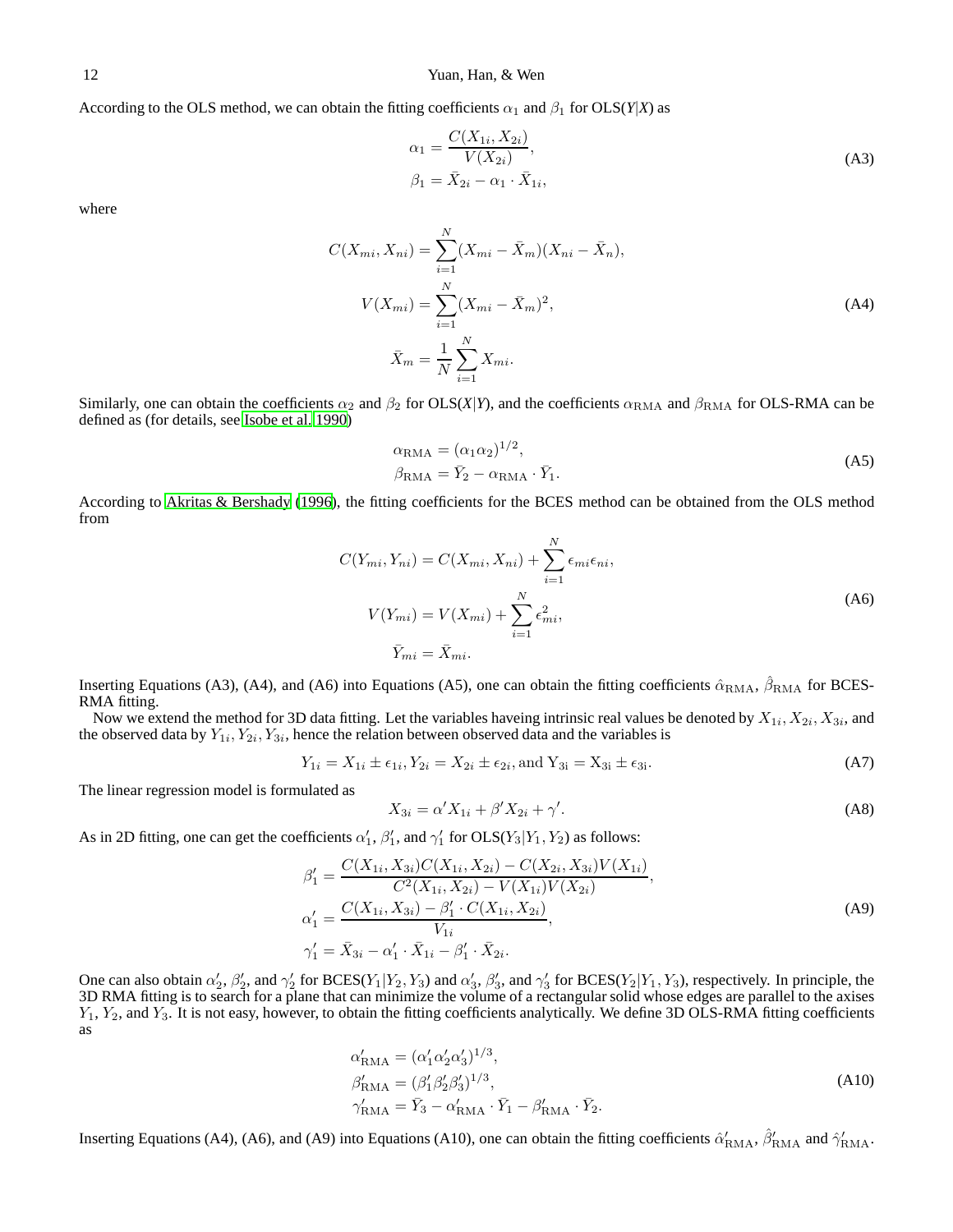# 12 Yuan, Han, & Wen

According to the OLS method, we can obtain the fitting coefficients  $\alpha_1$  and  $\beta_1$  for OLS(*Y*|*X*) as

$$
\alpha_1 = \frac{C(X_{1i}, X_{2i})}{V(X_{2i})}, \n\beta_1 = \bar{X}_{2i} - \alpha_1 \cdot \bar{X}_{1i},
$$
\n(A3)

where

$$
C(X_{mi}, X_{ni}) = \sum_{i=1}^{N} (X_{mi} - \bar{X}_m)(X_{ni} - \bar{X}_n),
$$
  
\n
$$
V(X_{mi}) = \sum_{i=1}^{N} (X_{mi} - \bar{X}_m)^2,
$$
  
\n
$$
\bar{X}_m = \frac{1}{N} \sum_{i=1}^{N} X_{mi}.
$$
\n(A4)

Similarly, one can obtain the coefficients  $\alpha_2$  and  $\beta_2$  for OLS(*X*|*Y*), and the coefficients  $\alpha_{\text{RMA}}$  and  $\beta_{\text{RMA}}$  for OLS-RMA can be defined as (for details, see [Isobe et al. 1990\)](#page-12-91)

$$
\alpha_{\text{RMA}} = (\alpha_1 \alpha_2)^{1/2},
$$
  
\n
$$
\beta_{\text{RMA}} = \bar{Y}_2 - \alpha_{\text{RMA}} \cdot \bar{Y}_1.
$$
\n(A5)

According to [Akritas & Bershady \(1996](#page-12-90)), the fitting coefficients for the BCES method can be obtained from the OLS method from

$$
C(Y_{mi}, Y_{ni}) = C(X_{mi}, X_{ni}) + \sum_{i=1}^{N} \epsilon_{mi} \epsilon_{ni},
$$
  
\n
$$
V(Y_{mi}) = V(X_{mi}) + \sum_{i=1}^{N} \epsilon_{mi}^2,
$$
  
\n
$$
\bar{Y}_{mi} = \bar{X}_{mi}.
$$
\n(A6)

Inserting Equations (A3), (A4), and (A6) into Equations (A5), one can obtain the fitting coefficients  $\hat{\alpha}_{\text{RMA}}$ ,  $\hat{\beta}_{\text{RMA}}$  for BCES-RMA fitting.

Now we extend the method for 3D data fitting. Let the variables haveing intrinsic real values be denoted by  $X_{1i}, X_{2i}, X_{3i}$ , and the observed data by  $Y_{1i}, Y_{2i}, Y_{3i}$ , hence the relation between observed data and the variables is

$$
Y_{1i} = X_{1i} \pm \epsilon_{1i}, Y_{2i} = X_{2i} \pm \epsilon_{2i}, \text{and } Y_{3i} = X_{3i} \pm \epsilon_{3i}.
$$
 (A7)

The linear regression model is formulated as

$$
X_{3i} = \alpha' X_{1i} + \beta' X_{2i} + \gamma'.\tag{A8}
$$

As in 2D fitting, one can get the coefficients  $\alpha'_1$ ,  $\beta'_1$ , and  $\gamma'_1$  for  $OLS(Y_3|Y_1, Y_2)$  as follows:

$$
\beta'_{1} = \frac{C(X_{1i}, X_{3i})C(X_{1i}, X_{2i}) - C(X_{2i}, X_{3i})V(X_{1i})}{C^{2}(X_{1i}, X_{2i}) - V(X_{1i})V(X_{2i})},
$$
\n
$$
\alpha'_{1} = \frac{C(X_{1i}, X_{3i}) - \beta'_{1} \cdot C(X_{1i}, X_{2i})}{V_{1i}},
$$
\n
$$
\gamma'_{1} = \bar{X}_{3i} - \alpha'_{1} \cdot \bar{X}_{1i} - \beta'_{1} \cdot \bar{X}_{2i}.
$$
\n(A9)

One can also obtain  $\alpha'_2$ ,  $\beta'_2$ , and  $\gamma'_2$  for BCES( $Y_1|Y_2, Y_3$ ) and  $\alpha'_3$ ,  $\beta'_3$ , and  $\gamma'_3$  for BCES( $Y_2|Y_1, Y_3$ ), respectively. In principle, the 3D RMA fitting is to search for a plane that can minimize the  $Y_1, Y_2$ , and  $Y_3$ . It is not easy, however, to obtain the fitting coefficients analytically. We define 3D OLS-RMA fitting coefficients as

$$
\alpha'_{\text{RMA}} = (\alpha'_1 \alpha'_2 \alpha'_3)^{1/3},
$$
\n
$$
\beta'_{\text{RMA}} = (\beta'_1 \beta'_2 \beta'_3)^{1/3},
$$
\n
$$
\gamma'_{\text{RMA}} = \bar{Y}_3 - \alpha'_{\text{RMA}} \cdot \bar{Y}_1 - \beta'_{\text{RMA}} \cdot \bar{Y}_2.
$$
\n(A10)

Inserting Equations (A4), (A6), and (A9) into Equations (A10), one can obtain the fitting coefficients  $\hat{\alpha}'_{\text{RMA}}$ ,  $\hat{\beta}'_{\text{RMA}}$  and  $\hat{\gamma}'_{\text{RMA}}$ .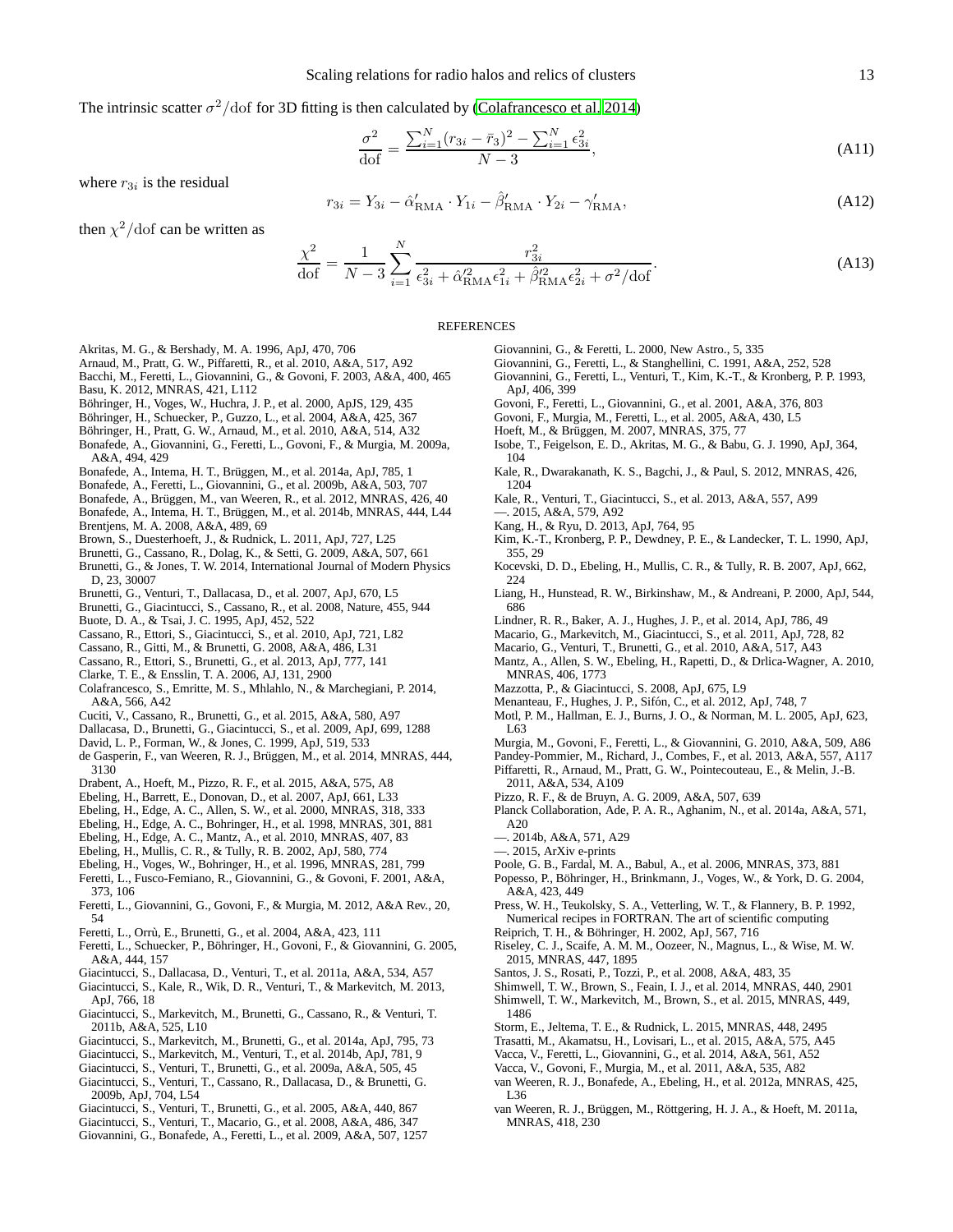The intrinsic scatter  $\sigma^2$ /dof for 3D fitting is then calculated by [\(Colafrancesco et al. 2014\)](#page-12-92)

<span id="page-12-84"></span>
$$
\frac{\sigma^2}{\text{dof}} = \frac{\sum_{i=1}^{N} (r_{3i} - \bar{r}_3)^2 - \sum_{i=1}^{N} \epsilon_{3i}^2}{N - 3},\tag{A11}
$$

where  $r_{3i}$  is the residual

$$
r_{3i} = Y_{3i} - \hat{\alpha}'_{\text{RMA}} \cdot Y_{1i} - \hat{\beta}'_{\text{RMA}} \cdot Y_{2i} - \gamma'_{\text{RMA}},
$$
\n(A12)

then  $\chi^2$ /dof can be written as

<span id="page-12-85"></span>
$$
\frac{\chi^2}{\text{dof}} = \frac{1}{N-3} \sum_{i=1}^{N} \frac{r_{3i}^2}{\epsilon_{3i}^2 + \hat{\alpha}_{\text{RMA}}'^2 \epsilon_{1i}^2 + \hat{\beta}_{\text{RMA}}'^2 \epsilon_{2i}^2 + \sigma^2/\text{dof}}.
$$
\n(A13)

#### REFERENCES

- <span id="page-12-90"></span>Akritas, M. G., & Bershady, M. A. 1996, ApJ, 470, 706
- <span id="page-12-13"></span>Arnaud, M., Pratt, G. W., Piffaretti, R., et al. 2010, A&A, 517, A92
- <span id="page-12-36"></span>Bacchi, M., Feretti, L., Giovannini, G., & Govoni, F. 2003, A&A, 400, 465
- <span id="page-12-15"></span>Basu, K. 2012, MNRAS, 421, L112
- <span id="page-12-24"></span>Böhringer, H., Voges, W., Huchra, J. P., et al. 2000, ApJS, 129, 435
- <span id="page-12-25"></span>Böhringer, H., Schuecker, P., Guzzo, L., et al. 2004, A&A, 425, 367
- <span id="page-12-31"></span>Böhringer, H., Pratt, G. W., Arnaud, M., et al. 2010, A&A, 514, A32
- <span id="page-12-64"></span>Bonafede, A., Giovannini, G., Feretti, L., Govoni, F., & Murgia, M. 2009a, A&A, 494, 429
- <span id="page-12-60"></span>Bonafede, A., Intema, H. T., Brüggen, M., et al. 2014a, ApJ, 785, 1
- <span id="page-12-57"></span>Bonafede, A., Feretti, L., Giovannini, G., et al. 2009b, A&A, 503, 707
- <span id="page-12-56"></span>Bonafede, A., Brüggen, M., van Weeren, R., et al. 2012, MNRAS, 426, 40
- <span id="page-12-53"></span>Bonafede, A., Intema, H. T., Brüggen, M., et al. 2014b, MNRAS, 444, L44 Brentjens, M. A. 2008, A&A, 489, 69
- <span id="page-12-52"></span><span id="page-12-49"></span>Brown, S., Duesterhoeft, J., & Rudnick, L. 2011, ApJ, 727, L25
- <span id="page-12-7"></span>Brunetti, G., Cassano, R., Dolag, K., & Setti, G. 2009, A&A, 507, 661
- <span id="page-12-4"></span>Brunetti, G., & Jones, T. W. 2014, International Journal of Modern Physics D, 23, 30007
- <span id="page-12-6"></span>Brunetti, G., Venturi, T., Dallacasa, D., et al. 2007, ApJ, 670, L5
- <span id="page-12-35"></span>Brunetti, G., Giacintucci, S., Cassano, R., et al. 2008, Nature, 455, 944
- <span id="page-12-30"></span>Buote, D. A., & Tsai, J. C. 1995, ApJ, 452, 522
- <span id="page-12-1"></span>Cassano, R., Ettori, S., Giacintucci, S., et al. 2010, ApJ, 721, L82
- <span id="page-12-9"></span>Cassano, R., Gitti, M., & Brunetti, G. 2008, A&A, 486, L31
- <span id="page-12-8"></span>Cassano, R., Ettori, S., Brunetti, G., et al. 2013, ApJ, 777, 141
- <span id="page-12-48"></span>Clarke, T. E., & Ensslin, T. A. 2006, AJ, 131, 2900
- <span id="page-12-92"></span>Colafrancesco, S., Emritte, M. S., Mhlahlo, N., & Marchegiani, P. 2014, A&A, 566, A42
- <span id="page-12-2"></span>Cuciti, V., Cassano, R., Brunetti, G., et al. 2015, A&A, 580, A97
- <span id="page-12-34"></span>Dallacasa, D., Brunetti, G., Giacintucci, S., et al. 2009, ApJ, 699, 1288
- <span id="page-12-77"></span>David, L. P., Forman, W., & Jones, C. 1999, ApJ, 519, 533
- <span id="page-12-11"></span>de Gasperin, F., van Weeren, R. J., Brüggen, M., et al. 2014, MNRAS, 444, 3130
- <span id="page-12-43"></span>Drabent, A., Hoeft, M., Pizzo, R. F., et al. 2015, A&A, 575, A8
- <span id="page-12-81"></span>Ebeling, H., Barrett, E., Donovan, D., et al. 2007, ApJ, 661, L33
- <span id="page-12-23"></span>Ebeling, H., Edge, A. C., Allen, S. W., et al. 2000, MNRAS, 318, 333
- <span id="page-12-22"></span>Ebeling, H., Edge, A. C., Bohringer, H., et al. 1998, MNRAS, 301, 881
- Ebeling, H., Edge, A. C., Mantz, A., et al. 2010, MNRAS, 407, 83
- <span id="page-12-83"></span><span id="page-12-79"></span>Ebeling, H., Mullis, C. R., & Tully, R. B. 2002, ApJ, 580, 774
- 
- <span id="page-12-21"></span>Ebeling, H., Voges, W., Bohringer, H., et al. 1996, MNRAS, 281, 799
- <span id="page-12-44"></span>Feretti, L., Fusco-Femiano, R., Giovannini, G., & Govoni, F. 2001, A&A, 373, 106
- <span id="page-12-0"></span>Feretti, L., Giovannini, G., Govoni, F., & Murgia, M. 2012, A&A Rev., 20, 54
- <span id="page-12-45"></span>Feretti, L., Orrù, E., Brunetti, G., et al. 2004, A&A, 423, 111
- <span id="page-12-71"></span>Feretti, L., Schuecker, P., Böhringer, H., Govoni, F., & Giovannini, G. 2005, A&A, 444, 157
- <span id="page-12-61"></span>Giacintucci, S., Dallacasa, D., Venturi, T., et al. 2011a, A&A, 534, A57
- <span id="page-12-59"></span>Giacintucci, S., Kale, R., Wik, D. R., Venturi, T., & Markevitch, M. 2013, ApJ, 766, 18
- <span id="page-12-73"></span>Giacintucci, S., Markevitch, M., Brunetti, G., Cassano, R., & Venturi, T. 2011b, A&A, 525, L10
- <span id="page-12-74"></span>Giacintucci, S., Markevitch, M., Brunetti, G., et al. 2014a, ApJ, 795, 73
- <span id="page-12-72"></span>Giacintucci, S., Markevitch, M., Venturi, T., et al. 2014b, ApJ, 781, 9
- <span id="page-12-62"></span>Giacintucci, S., Venturi, T., Brunetti, G., et al. 2009a, A&A, 505, 45
- <span id="page-12-40"></span>Giacintucci, S., Venturi, T., Cassano, R., Dallacasa, D., & Brunetti, G. 2009b, ApJ, 704, L54
- <span id="page-12-51"></span>Giacintucci, S., Venturi, T., Brunetti, G., et al. 2005, A&A, 440, 867
- <span id="page-12-63"></span>Giacintucci, S., Venturi, T., Macario, G., et al. 2008, A&A, 486, 347
- <span id="page-12-42"></span>Giovannini, G., Bonafede, A., Feretti, L., et al. 2009, A&A, 507, 1257
- <span id="page-12-17"></span>Giovannini, G., & Feretti, L. 2000, New Astro., 5, 335
- <span id="page-12-68"></span>Giovannini, G., Feretti, L., & Stanghellini, C. 1991, A&A, 252, 528
- <span id="page-12-55"></span>Giovannini, G., Feretti, L., Venturi, T., Kim, K.-T., & Kronberg, P. P. 1993, ApJ, 406, 399
- <span id="page-12-39"></span>Govoni, F., Feretti, L., Giovannini, G., et al. 2001, A&A, 376, 803
- <span id="page-12-46"></span>Govoni, F., Murgia, M., Feretti, L., et al. 2005, A&A, 430, L5
- <span id="page-12-88"></span>Hoeft, M., & Brüggen, M. 2007, MNRAS, 375, 77
- <span id="page-12-91"></span>Isobe, T., Feigelson, E. D., Akritas, M. G., & Babu, G. J. 1990, ApJ, 364, 104
- <span id="page-12-65"></span>Kale, R., Dwarakanath, K. S., Bagchi, J., & Paul, S. 2012, MNRAS, 426, 1204
- <span id="page-12-10"></span>Kale, R., Venturi, T., Giacintucci, S., et al. 2013, A&A, 557, A99 —. 2015, A&A, 579, A92
- <span id="page-12-89"></span><span id="page-12-3"></span>Kang, H., & Ryu, D. 2013, ApJ, 764, 95
- <span id="page-12-54"></span>Kim, K.-T., Kronberg, P. P., Dewdney, P. E., & Landecker, T. L. 1990, ApJ, 355, 29
- <span id="page-12-80"></span>Kocevski, D. D., Ebeling, H., Mullis, C. R., & Tully, R. B. 2007, ApJ, 662, 224
- <span id="page-12-5"></span>Liang, H., Hunstead, R. W., Birkinshaw, M., & Andreani, P. 2000, ApJ, 544, 686
- <span id="page-12-69"></span>Lindner, R. R., Baker, A. J., Hughes, J. P., et al. 2014, ApJ, 786, 49
- <span id="page-12-38"></span>Macario, G., Markevitch, M., Giacintucci, S., et al. 2011, ApJ, 728, 82
- <span id="page-12-37"></span>Macario, G., Venturi, T., Brunetti, G., et al. 2010, A&A, 517, A43
- <span id="page-12-26"></span>Mantz, A., Allen, S. W., Ebeling, H., Rapetti, D., & Drlica-Wagner, A. 2010, MNRAS, 406, 1773
- <span id="page-12-87"></span>Mazzotta, P., & Giacintucci, S. 2008, ApJ, 675, L9
- <span id="page-12-82"></span>Menanteau, F., Hughes, J. P., Sifón, C., et al. 2012, ApJ, 748, 7
- 
- <span id="page-12-12"></span>Motl, P. M., Hallman, E. J., Burns, J. O., & Norman, M. L. 2005, ApJ, 623, L63
- <span id="page-12-32"></span>Murgia, M., Govoni, F., Feretti, L., & Giovannini, G. 2010, A&A, 509, A86
- <span id="page-12-58"></span>Pandey-Pommier, M., Richard, J., Combes, F., et al. 2013, A&A, 557, A117 Piffaretti, R., Arnaud, M., Pratt, G. W., Pointecouteau, E., & Melin, J.-B.
- <span id="page-12-75"></span>2011, A&A, 534, A109
- <span id="page-12-47"></span>Pizzo, R. F., & de Bruyn, A. G. 2009, A&A, 507, 639
- <span id="page-12-14"></span>Planck Collaboration, Ade, P. A. R., Aghanim, N., et al. 2014a, A&A, 571, A20
- <span id="page-12-16"></span>—. 2014b, A&A, 571, A29
- <span id="page-12-27"></span>—. 2015, ArXiv e-prints
- <span id="page-12-29"></span>Poole, G. B., Fardal, M. A., Babul, A., et al. 2006, MNRAS, 373, 881
- <span id="page-12-76"></span>Popesso, P., Böhringer, H., Brinkmann, J., Voges, W., & York, D. G. 2004, A&A, 423, 449
- <span id="page-12-86"></span>Press, W. H., Teukolsky, S. A., Vetterling, W. T., & Flannery, B. P. 1992, Numerical recipes in FORTRAN. The art of scientific computing
- <span id="page-12-78"></span>Reiprich, T. H., & Böhringer, H. 2002, ApJ, 567, 716
- <span id="page-12-66"></span>Riseley, C. J., Scaife, A. M. M., Oozeer, N., Magnus, L., & Wise, M. W. 2015, MNRAS, 447, 1895
- <span id="page-12-28"></span>Santos, J. S., Rosati, P., Tozzi, P., et al. 2008, A&A, 483, 35
- <span id="page-12-19"></span>Shimwell, T. W., Brown, S., Feain, I. J., et al. 2014, MNRAS, 440, 2901
- <span id="page-12-20"></span>Shimwell, T. W., Markevitch, M., Brown, S., et al. 2015, MNRAS, 449, 1486
- <span id="page-12-50"></span>Storm, E., Jeltema, T. E., & Rudnick, L. 2015, MNRAS, 448, 2495
- <span id="page-12-18"></span>Trasatti, M., Akamatsu, H., Lovisari, L., et al. 2015, A&A, 575, A45
- <span id="page-12-33"></span>Vacca, V., Feretti, L., Giovannini, G., et al. 2014, A&A, 561, A52
- <span id="page-12-41"></span>Vacca, V., Govoni, F., Murgia, M., et al. 2011, A&A, 535, A82
- <span id="page-12-70"></span>van Weeren, R. J., Bonafede, A., Ebeling, H., et al. 2012a, MNRAS, 425, L36
- <span id="page-12-67"></span>van Weeren, R. J., Brüggen, M., Röttgering, H. J. A., & Hoeft, M. 2011a, MNRAS, 418, 230